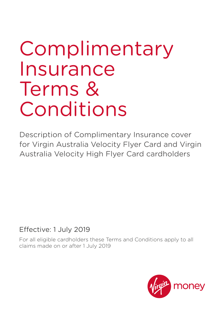# Complimentary Insurance Terms & Conditions

Description of Complimentary Insurance cover for Virgin Australia Velocity Flyer Card and Virgin Australia Velocity High Flyer Card cardholders

Effective: 1 July 2019

For all eligible cardholders these Terms and Conditions apply to all claims made on or after 1 July 2019

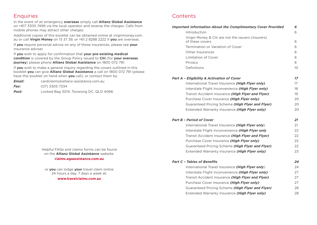# **Enquiries**

In the event of an emergency **overseas** simply call **Allianz Global Assistance** on +617 3305 7499 via the local operator and reverse the charges. Calls from mobile phones may attract other charges.

Additional copies of this booklet can be obtained online at [virginmoney.com.](http://virginmoney.com.au) [au](http://virginmoney.com.au) or call **Virgin Money** on 13 37 39, or +61 2 8288 2222 if **you** are overseas.

If **you** require personal advice on any of these insurances, please see **your** insurance adviser.

If **you** wish to apply for confirmation that **your pre-existing medical condition** is covered by the Group Policy issued to **Citi** (for **your overseas journey**) please phone **Allianz Global Assistance** on 1800 072 791.

If **you** wish to make a general inquiry regarding the covers outlined in this booklet **you** can give **Allianz Global Assistance** a call on 1800 072 791 (please have this booklet on hand when **you** call), or contact them by:

| Email:      | cardclaims@allianz-assistance.com.au   |
|-------------|----------------------------------------|
| <i>Fax:</i> | (07) 3305 7334                         |
| Post:       | Locked Bag 3014, Toowong DC, QLD 4066. |

Helpful FAQs and claims forms can be found on the **Allianz Global Assistance** website: **[claims.agaassistance.com.au](http://claims.agaassistance.com.au)**

or **you** can lodge **your** travel claim online 24 hours a day, 7 days a week at: **[www.travelclaims.com.au](http://www.travelclaims.com.au)**

# **Contents**

| Introduction<br>Virgin Money & Citi are not the issuers (insurers)<br>of these covers<br>Termination or Variation of Cover<br>Other Insurances<br><b>Limitation of Cover</b><br>Privacy<br>Definitions<br>International Travel Insurance (High Flyer only)<br>Interstate Flight Inconvenience (High Flyer only)<br>Transit Accident Insurance (High Flyer and Flyer)<br>Purchase Cover Insurance (High Flyer only)<br>Guaranteed Pricing Scheme (High Flyer and Flyer)<br>Extended Warranty Insurance (High Flyer only)<br>International Travel Insurance (High Flyer only) | 6<br>6<br>6<br>6<br>6<br>6<br>10 <sup>°</sup><br>17 |
|-----------------------------------------------------------------------------------------------------------------------------------------------------------------------------------------------------------------------------------------------------------------------------------------------------------------------------------------------------------------------------------------------------------------------------------------------------------------------------------------------------------------------------------------------------------------------------|-----------------------------------------------------|
|                                                                                                                                                                                                                                                                                                                                                                                                                                                                                                                                                                             |                                                     |
| <b>Part A - Eligibility &amp; Activation of Cover</b><br><b>Part B - Period of Cover</b>                                                                                                                                                                                                                                                                                                                                                                                                                                                                                    |                                                     |
|                                                                                                                                                                                                                                                                                                                                                                                                                                                                                                                                                                             |                                                     |
|                                                                                                                                                                                                                                                                                                                                                                                                                                                                                                                                                                             |                                                     |
|                                                                                                                                                                                                                                                                                                                                                                                                                                                                                                                                                                             |                                                     |
|                                                                                                                                                                                                                                                                                                                                                                                                                                                                                                                                                                             |                                                     |
|                                                                                                                                                                                                                                                                                                                                                                                                                                                                                                                                                                             |                                                     |
|                                                                                                                                                                                                                                                                                                                                                                                                                                                                                                                                                                             |                                                     |
|                                                                                                                                                                                                                                                                                                                                                                                                                                                                                                                                                                             | 17                                                  |
|                                                                                                                                                                                                                                                                                                                                                                                                                                                                                                                                                                             | 18                                                  |
|                                                                                                                                                                                                                                                                                                                                                                                                                                                                                                                                                                             | 19                                                  |
|                                                                                                                                                                                                                                                                                                                                                                                                                                                                                                                                                                             | 20                                                  |
|                                                                                                                                                                                                                                                                                                                                                                                                                                                                                                                                                                             | 20                                                  |
|                                                                                                                                                                                                                                                                                                                                                                                                                                                                                                                                                                             | 20                                                  |
|                                                                                                                                                                                                                                                                                                                                                                                                                                                                                                                                                                             | 21                                                  |
|                                                                                                                                                                                                                                                                                                                                                                                                                                                                                                                                                                             | 21                                                  |
| Interstate Flight Inconvenience (High Flyer only                                                                                                                                                                                                                                                                                                                                                                                                                                                                                                                            | 22                                                  |
| Transit Accident Insurance (High Flyer and Flyer)                                                                                                                                                                                                                                                                                                                                                                                                                                                                                                                           | 22                                                  |
| Purchase Cover Insurance (High Flyer only)                                                                                                                                                                                                                                                                                                                                                                                                                                                                                                                                  | 22                                                  |
| Guaranteed Pricing Scheme (High Flyer and Flyer)                                                                                                                                                                                                                                                                                                                                                                                                                                                                                                                            | 22                                                  |
| Extended Warranty Insurance (High Flyer only)                                                                                                                                                                                                                                                                                                                                                                                                                                                                                                                               | 23                                                  |
| <b>Part C - Tables of Benefits</b>                                                                                                                                                                                                                                                                                                                                                                                                                                                                                                                                          | 24                                                  |
| International Travel Insurance (High Flyer only)                                                                                                                                                                                                                                                                                                                                                                                                                                                                                                                            | 24                                                  |
| Interstate Flight Inconvenience (High Flyer only)                                                                                                                                                                                                                                                                                                                                                                                                                                                                                                                           | 27                                                  |
| Transit Accident Insurance (High Flyer and Flyer)                                                                                                                                                                                                                                                                                                                                                                                                                                                                                                                           | 27                                                  |
| Purchase Cover Insurance (High Flyer only)                                                                                                                                                                                                                                                                                                                                                                                                                                                                                                                                  | 27                                                  |
| Guaranteed Pricing Scheme (High Flyer and Flyer)                                                                                                                                                                                                                                                                                                                                                                                                                                                                                                                            | 28                                                  |
| Extended Warranty Insurance (High Flyer only)                                                                                                                                                                                                                                                                                                                                                                                                                                                                                                                               | 28                                                  |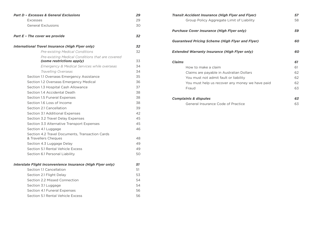| <b>Part D - Excesses &amp; General Exclusions</b>           | 29 |
|-------------------------------------------------------------|----|
| Excesses                                                    | 29 |
| <b>General Exclusions</b>                                   | 30 |
| <b>Part E - The cover we provide</b>                        | 32 |
| International Travel Insurance (High Flyer only)            | 32 |
| Pre-existing Medical Conditions                             | 32 |
| Pre-existing Medical Conditions that are covered            |    |
| (some restrictions apply)                                   | 33 |
| Emergency & Medical Services while overseas                 | 34 |
| Travelling Overseas                                         | 34 |
| Section 1.1 Overseas Emergency Assistance                   | 35 |
| Section 1.2 Overseas Emergency Medical                      | 36 |
| Section 1.3 Hospital Cash Allowance                         | 37 |
| Section 1.4 Accidental Death                                | 38 |
| Section 1.5 Funeral Expenses                                | 38 |
| Section 1.6 Loss of Income                                  | 38 |
| Section 2.1 Cancellation                                    | 39 |
| Section 3.1 Additional Expenses                             | 42 |
| Section 3.2 Travel Delay Expenses                           | 45 |
| Section 3.3 Alternative Transport Expenses                  | 45 |
| Section 4.1 Luggage                                         | 46 |
| Section 4.2 Travel Documents, Transaction Cards             |    |
| & Travellers Cheques                                        | 48 |
| Section 4.3 Luggage Delay                                   | 49 |
| Section 5.1 Rental Vehicle Excess                           | 49 |
| Section 6.1 Personal Liability                              | 50 |
| Interstate Flight Inconvenience Insurance (High Flyer only) | 51 |
| Section 1.1 Cancellation                                    | 51 |
| Section 2.1 Flight Delay                                    | 53 |
| Section 2.2 Missed Connection                               | 54 |
| Section 3.1 Luggage                                         | 54 |
| Section 4.1 Funeral Expenses                                | 56 |
| Section 5.1 Rental Vehicle Excess                           | 56 |

| <b>Transit Accident Insurance (High Flyer and Flyer)</b> | 57 |
|----------------------------------------------------------|----|
| Group Policy Aggregate Limit of Liability                | 58 |
| <b>Purchase Cover Insurance (High Flyer only)</b>        | 59 |
| <b>Guaranteed Pricing Scheme (High Flyer and Flyer)</b>  | 60 |
| <b>Extended Warranty Insurance (High Flyer only)</b>     | 60 |
| <b>Claims</b>                                            | 61 |
| How to make a claim                                      | 61 |
| Claims are payable in Australian Dollars                 | 62 |
| You must not admit fault or liability                    | 62 |
| You must help us recover any money we have paid          | 62 |
| Fraud                                                    | 63 |
| <b>Complaints &amp; disputes</b>                         | 63 |
| General Insurance Code of Practice                       | 63 |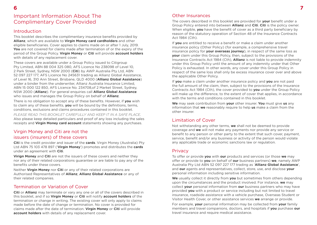# Important Information About The Complimentary Cover Provided

## **Introduction**

This booklet describes the complimentary insurance benefits provided by **Allianz**, which are available to **Virgin Money card cardholders** and other eligible beneficiaries. Cover applies to claims made on or after 1 July, 2019. **You** are not covered for claims made after termination of or the expiry of the period of the Group Policy. **Virgin Money** or **Citi** will provide **account holders** with details of any replacement cover.

These covers are available under a Group Policy issued to Citigroup Pty Limited, ABN 88 004 325 080, AFS Licence No 238098 of Level 10, 2 Park Street, Sydney, NSW 2000 (**Citi**) by AWP Australia Pty Ltd, ABN 52 097 227 177, AFS Licence No 245631 trading as Allianz Global Assistance, of Level 16, 310 Ann Street, Brisbane, QLD 4000 (**Allianz Global Assistance**) under a binder from the underwriter, Allianz Australia Insurance Limited, ABN 15 000 122 850, AFS Licence No. 234708,of 2 Market Street, Sydney, NSW 2000 (**Allianz**). For general enquiries call **Allianz Global Assistance** who issues and manages the Group Policy on behalf of **Allianz**.

There is no obligation to accept any of these benefits. However, if **you** wish to claim any of these benefits, **you** will be bound by the definitions, terms, conditions, exclusions and claims procedures contained in this booklet.

*PLEASE READ THIS BOOKLET CAREFULLY AND KEEP IT IN A SAFE PLACE*. Also please keep detailed particulars and proof of any loss including the sales receipts and **Virgin Money card account** statements showing any purchases.

# Virgin Money and Citi are not the issuers (insurers) of these covers

**Citi** is the credit provider and issuer of the **cards**. Virgin Money (Australia) Pty Ltd ABN 75 103 478 897 ('**Virgin Money**') promotes and distributes the **cards** under an agreement with **Citi**.

**Virign Money** and **Citi** are not the issuers of these covers and neither they nor any of their related corporations guarantee or are liable to pay any of the benefits under these covers.

Neither **Virgin Money** nor **Citi** or any of their related corporations are Authorised Representatives of **Allianz**, **Allianz Global Assistance** or any of their related companies.

# Termination or Variation of Cover

**Citi** or **Allianz** may terminate or vary any one or all of the covers described in this booklet, and if so **Virgin Money** or **Citi** will notify **account holders** of the termination or change in writing. The existing cover will only apply to claims made before the date of change or termination. No cover is provided for claims made after the date of termination. **Virgin Money** or **Citi** will provide **account holders** with details of any replacement cover.

# Other Insurances

The covers described in this booklet are provided for **your** benefit under a Group Policy entered into between **Allianz** and **Citi**. **Citi** is the policy owner. When eligible, **you** have the benefit of cover as a third party beneficiary by reason of the statutory operation of Section 48 of the Insurance Contracts Act 1984 (Cth).

If **you** are entitled to receive a benefit or make a claim under another insurance policy (Other Policy) (for example, a comprehensive travel insurance policy for **your overseas journey**), in respect of the same loss as **your** claim under this Group Policy, then, subject to the provisions of the Insurance Contracts Act 1984 (Cth), **Allianz** is not liable to provide indemnity under this Group Policy until the amount of any indemnity under that Other Policy is exhausted. In other words, any cover under this Group Policy in respect of the same loss shall only be excess insurance cover over and above the applicable Other Policy.

If **you** make a claim under another insurance policy and **you** are not paid the full amount of the claim, then, subject to the provisions of the Insurance Contracts Act 1984 (Cth), the cover provided to **you** under the Group Policy will make up the difference, to the extent of cover that applies, in accordance with the terms and conditions contained in this booklet.

**We** may seek contribution from **your** other insurer. **You** must give **us** any information that **we** reasonably require to help **us** make a claim from the other insurer.

# Limitation of Cover

Not withstanding any other terms, **we** shall not be deemed to provide coverage and **we** will not make any payments nor provide any service or benefit to any person or other party to the extent that such cover, payment, service, benefit and/or any business or activity of the person would violate any applicable trade or economic sanctions law or regulation.

# **Privacy**

To offer or provide **you** with **our** products and services (or those **we** may offer or provide to **you** on behalf of **our** business partners) **we**, namely AWP Australia Pty Ltd ABN 52 097 227 177 trading as '**Allianz Global Assistance**', and **our** agents and representatives, collect, store, use, and disclose **your** personal information including sensitive information.

**We** usually collect it directly from **you** but sometimes from others depending upon the circumstances and the product involved. For instance, **we** may collect **your** personal information from **our** business partners who may have provided **you** with a product or service including but not limited to travel insurance, roadside assistance with a vehicle purchase, Overseas Student or Visitor Health Cover, or other assistance services **we** arrange or provide.

For example, **your** personal information may be collected from **your** family members and travel companions, doctors, and hospitals if **you** purchase **our** travel insurance and require medical assistance.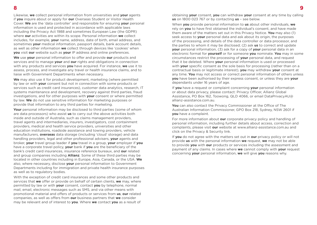Likewise, **we** collect personal information from universities and **your** agents if **you** inquire about or apply for **our** Overseas Student or Visitor Health Cover. **We** are the 'data controller' and responsible for ensuring **your** personal information is used and protected in accordance with applicable laws including the Privacy Act 1988 and sometimes European Law (the GDPR) where **our** activities are within its scope. Personal information **we** collect includes, for example, **your** name, address, date of birth, email address, and sometimes **your** medical information, passport details, bank account details, as well as other information **we** collect through devices like 'cookies' when **you** visit **our** website such as **your** IP address and online preferences.

**We** use **your** personal information to offer and provide **our** products and services and to manage **your** and **our** rights and obligations in connection with any products and services **you** have acquired. For instance, **we** use it to assess, process, and investigate any travel or health insurance claims, and to liaise with Government Departments when necessary.

**We** may also use it for product development, marketing (where permitted by law or with **your** consent but not in connection with some products or services such as credit card insurances), customer data analytics, research, IT systems maintenance and development, recovery against third parties, fraud investigations, and for other purposes with **your** consent or where permitted by law. **We** do not use sensitive information for marketing purposes or provide that information to any third parties for marketing.

**Your** personal information may be disclosed to third parties (some of whom are data processors) who assist **us** to carry out the above activities both inside and outside of Australia, such as claims management providers, travel agents and intermediaries, insurers, investigators, cost containment providers, medical and health service providers, universities and other education institutions, roadside assistance and towing providers, vehicle manufacturers, **overseas** data storage (including 'cloud' storage) and data handling providers, legal and other professional advisers, **your** agents and broker, **your** travel group leader if **you** travel in a group, **your** employer if **you** have a corporate travel policy, **your** bank if **you** are the beneficiary of the bank's credit card insurances, insurance reference bureaux, and **our** related and group companies including **Allianz**. Some of these third parties may be located in other countries including in Europe, Asia, Canada, or the USA. **We** also, where necessary, disclose **your** personal information to Government Departments including for immigration and private health insurance purposes as well as to regulatory bodies.

With the exception of credit card insurances and some other products and services that **we** offer or provide on behalf of certain clients, **we** may, where permitted by law or with **your** consent, contact **you** by telephone, normal mail, email, electronic messages such as SMS, and via other means with promotional material and offers of products or services from **us**, **our** related companies, as well as offers from **our** business partners that **we** consider may be relevant and of interest to **you**. Where **we** contact **you** as a result of

obtaining **your** consent, **you** can withdraw **your** consent at any time by calling **us** on 1800 023 767 or by contacting **us** – see below.

When **you** provide personal information to **us** about other individuals, **we** rely on **you** to have first obtained the individual's consent, and have made them aware of the matters set out in this Privacy Notice. **You** may also (1) seek access to **your** personal data and ask about its origin, the purposes of the processing, and details of the data controller or data processor, and the parties to whom it may be disclosed; (2) ask **us** to correct and update **your** personal information, (3) ask for a copy of **your** personal data in an electronic format for **yourself** or for someone **you** nominate. **You** may in some circumstances restrict the processing of **your** personal data, and request that it be deleted. Where **your** personal information is used or processed with **your** specific consent as the sole basis for processing (rather than on a contractual basis or legitimate interest), **you** may withdraw **your** consent at any time. **You** may not access or correct personal information of others unless **you** have been authorised by their express consent, or unless they are **your** dependants under 16 years of age.

If **you** have a request or complaint concerning **your** personal information or about data privacy, please contact: Privacy Officer, Allianz Global Assistance, PO Box 162, Toowong, QLD 4066, or email [DataPrivacyAU@](mailto:DataPrivacyAU%40allianz-assistance.com.au?subject=) [allianz-assistance.com.au](mailto:DataPrivacyAU%40allianz-assistance.com.au?subject=).

**You** can also contact the Privacy Commissioner at the Office of The Australian Information Commissioner, GPO Box 218, Sydney, NSW 2601 if **you** have a complaint.

For more information about **our** corporate privacy policy and handling of personal information, including further details about access, correction and complaints, please visit **our** website at [www.allianz-assistance.com.au](http://www.allianz-assistance.com.au) and click on the Privacy & Security link.

If **you** do not agree with the matters set out in **our** privacy policy or will not provide **us** with the personal information **we** request, **we** may not be able to provide **you** with **our** products or services including the assessment and payment of any claims. In cases where **we** cannot comply with **your** request concerning **your** personal information, **we** will give **you** reasons why.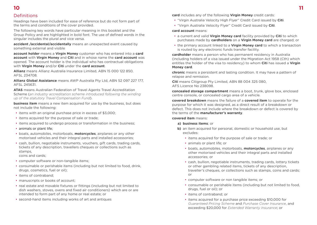# Definitions

Headings have been included for ease of reference but do not form part of the terms and conditions of the cover provided.

The following key words have particular meaning in this booklet and the Group Policy and are highlighted in bold font. The use of defined words in the singular includes the plural and vice versa.

**accident /accidental/accidentally** means an unexpected event caused by something external and visible

**account holder** means a **Virgin Money** customer who has entered into a **card account** with **Virgin Money** and **Citi** and in whose name the **card account** was opened. The account holder is the individual who has contractual obligations with **Virgin Money** and/or **Citi** under the **card account**.

**Allianz** means Allianz Australia Insurance Limited, ABN 15 000 122 850, AFSL 234708.

**Allianz Global Assistance** means AWP Australia Pty Ltd, ABN 52 097 227 177, AFSL 245631.

**ATAS** means Australian Federation of Travel Agents Travel Accreditation Scheme (*an industry accreditation scheme introduced following the winding up of the statutory Travel Compensation Fund*).

**business item** means a new item acquired for use by the business, but does not include the following:

- items with an original purchase price in excess of \$3,000;
- items acquired for the purpose of sale or trade;
- items acquired to undergo process or transformation in the business;
- animals or plant life:
- boats, automobiles, motorboats, **motorcycles**, airplanes or any other motorised vehicles and their integral parts and installed accessories;
- cash, bullion, negotiable instruments, vouchers, gift cards, trading cards, tickets of any description, travellers cheques or collections such as stamps,

coins and cards;

- computer software or non-tangible items;
- consumable or perishable items (including but not limited to food, drink, drugs, cosmetics, fuel or oil);
- items of contraband;
- manuscripts or books of account:
- real estate and movable fixtures or fittings (including but not limited to dish washers, stoves, ovens and fixed air conditioners) which are or are intended to form part of any home or real estate; or
- second-hand items including works of art and antiques

**card** includes any of the following **Virgin Money** credit cards:

- "Virgin Australia Velocity High Flyer" Credit Card issued by **Citi**.
- "Virgin Australia Velocity Flyer" Credit Card issued by **Citi**.

**card account** means:

- a current and valid **Virgin Money card** facility provided by **Citi** to which purchases made by **cardholders** on a **Virgin Money card** are charged; or
- the primary account linked to a **Virgin Money card** to which a transaction is routed by any electronic funds transfer facility.

**cardholder** means a person who has permanent residency in Australia (including holders of a visa issued under the Migration Act 1958 (Cth) which entitles the holder of the visa to residency) to whom **Citi** has issued a **Virgin Money card**.

**chronic** means a persistent and lasting condition. It may have a pattern of relapse and remission.

**Citi** means Citigroup Pty Limited, ABN 88 004 325 080, AFS Licence No 238098.

**concealed storage compartment** means a boot, trunk, glove box, enclosed centre console, or concealed cargo area of a vehicle.

**covered breakdown** means the failure of a **covered item** to operate for the purpose for which it was designed, as a direct result of a breakdown or defect. This does not include where the breakdown or defect is covered by the terms of the **manufacturer's warranty**.

#### **covered item** means:

- **a) business items**; or
- **b)** an item acquired for personal, domestic or household use, but excludes:
	- items acquired for the purpose of sale or trade; or
	- animals or plant life; or
	- boats, automobiles, motorboats, **motorcycles**, airplanes or any other motorised vehicles and their integral parts and installed accessories; or
	- cash, bullion, negotiable instruments, trading cards, lottery tickets or other gambling related items, tickets of any description, traveller's cheques, or collections such as stamps, coins and cards; or
	- computer software or non tangible items; or
	- consumable or perishable items (including but not limited to food, drugs, fuel or oil); or
	- items of contraband; or
	- items acquired for a purchase price exceeding \$10,000 for *Guaranteed Pricing Scheme* and *Purchase Cover Insurance*, and exceeding \$20,000 for *Extended Warranty Insurance*; or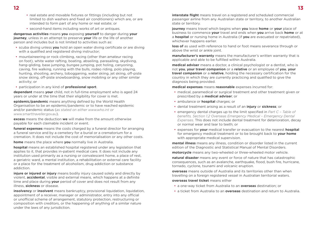- 
- real estate and movable fixtures or fittings (including but not limited to dish washers and fixed air conditioners) which are, or are intended to form part of any home or real estate; or
- second-hand items including works of art or antiques.

**dangerous activities** means **you** exposing **yourself** to danger during **your journey**, unless in an attempt to preserve **your** life or the life of another person and includes but is not limited to activities such as:

- scuba diving unless **you** hold an open water diving certificate or are diving with a qualified and registered diving instructor;
- mountaineering or rock climbing, racing (other than amateur racing on foot), white water rafting, boating, abseiling, parasailing, skydiving, hang-gliding, base jumping, bungee jumping, pot holing, canyoning, caving, fire walking, running with the bulls, rodeo riding, polo playing, hunting, shooting, archery, tobogganing, water skiing, jet skiing, off-piste snow skiing, off-piste snowboarding, snow mobiling or any other similar activity; or
- participation in any kind of **professional sport**.

**dependant** means **your** child, not in full-time employment who is aged 24 years or under at the time that their eligibility for cover is met.

**epidemic/pandemic** means anything defined by the World Health Organisation to be an epidemic/pandemic or to have reached epidemic and/or pandemic status (*as stated on either [www.who.int](http://www.who.int) or [www.smarttraveller.gov.au](http://www.smarttraveller.gov.au)*).

**excess** means the deduction **we** will make from the amount otherwise payable for each claimable incident or event.

**funeral expenses** means the costs charged by a funeral director for arranging a funeral service and by a cemetery for a burial or a crematorium for a cremation. It does not include the cost of memorialisation or any other costs.

**home** means the place where **you** normally live in Australia.

**hospital** means an established hospital registered under any legislation that applies to it, that provides in-patient medical care. It does not include any institution used primarily as a nursing or convalescent home, a place of rest, a geriatric ward, a mental institution, a rehabilitation or external care facility or a place for the treatment of alcoholism, drug addiction or substance addiction.

**injure or injured or injury** means bodily injury caused solely and directly by violent, **accidental**, visible and external means, which happens at a definite time and place during **your** period of cover and does not result from any illness, **sickness** or disease.

**insolvency** or **insolvent** means bankruptcy, provisional liquidation, liquidation, appointment of a receiver, manager or administrator, entry into any official or unofficial scheme of arrangement, statutory protection, restructuring or composition with creditors, or the happening of anything of a similar nature under the laws of any jurisdiction.

**interstate flight** means travel on a registered and scheduled commercial passenger airline from any Australian state or territory, to another Australian state or territory.

**journey** means travel which begins when **you** leave **home** or **your** place of business to commence **your** travel and ends when **you** arrive back **home** or at a **hospital** or nursing home in Australia (if **you** are evacuated or repatriated), whichever happens earlier.

**loss of** as used with reference to hand or foot means severance through or above the wrist or ankle joint.

**manufacturer's warranty** means the manufacturer's written warranty that is applicable and able to be fulfilled within Australia.

**medical adviser** means a doctor, a clinical psychologist or a dentist, who is not **you**, **your travel companion** or a **relative** or an employee of **you**, **your travel companion** or a **relative**, holding the necessary certification for the country in which they are currently practicing and qualified to give the diagnosis being provided.

**medical expenses** means **reasonable** expenses incurred for:

- medical, paramedical or surgical treatment and other treatment given or prescribed by a **medical adviser**; or
- ambulance or **hospital** charges; or
- dental treatment arising as a result of an **injury** or **sickness**; or
- emergency dental charges up to the limit specified in *Part C Table of benefits, Section 1.2 Overseas Emergency Medical – Emergency Dental Expenses*. This does not include dental treatment for deterioration, decay or normal wear and tear to teeth; or
- expenses for **your** medical transfer or evacuation to the nearest **hospital** for emergency medical treatment or to be brought back to **your home** with appropriate medical supervision.

**mental illness** means any illness, condition or disorder listed in the current edition of the Diagnostic and Statistical Manual of Mental Disorders.

**motorcycle** means any two-wheeled or three-wheeled motor vehicle.

**natural disaster** means any event or force of nature that has catastrophic consequences, such as an avalanche, earthquake, flood, bush fire, hurricane, tornado, cyclone, tsunami and volcanic eruption.

**overseas** means outside of Australia and its territories other than when travelling on a foreign registered vessel in Australian territorial waters.

**overseas travel ticket** means either

- a one-way ticket from Australia to an **overseas** destination; or
- a ticket from Australia to an **overseas** destination and return to Australia.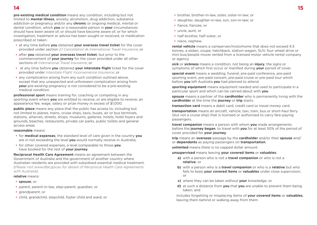**pre-existing medical condition** means any condition, including but not limited to **mental illness**, anxiety, alcoholism, drug addiction, substance addiction or pregnancy and/or any **chronic** or ongoing medical, mental or dental condition, which **you** or a reasonable person in **your** circumstances should have been aware of, or should have become aware of, or for which investigation, treatment or advice has been sought or received, or medication prescribed or taken:

- at any time before **you** obtained **your overseas travel ticket** for the cover provided under section *2.1 Cancellation* in *International Travel Insurance*; or
- after **you** obtained **your overseas travel ticket**, but prior to the commencement of **your journey** for the cover provided under all other sections of *International Travel Insurance*; or
- at any time before **you** obtained **your interstate flight** ticket for the cover provided under *Interstate Flight Inconvenience Insurance*; or
- any complication arising from any such condition outlined above, except that any unexpected and unforeseen complication arising from **your** pre-existing pregnancy is not considered to be a pre-existing medical condition.

**professional sport** means training for, coaching or competing in any sporting event where **you** are entitled to receive, or are eligible to receive, an appearance fee, wage, salary or prize money in excess of \$1,000.

**public place** means any place that the public has access to, including but not limited to planes, trains, cruise ships, taxis, buses, air or bus terminals, stations, wharves, streets, shops, museums, galleries, hotels, hotel foyers and grounds, beaches, restaurants, private car parks, public toilets and general access areas.

#### **reasonable** means:

- for **medical expenses**, the standard level of care given in the country **you** are in not exceeding the level **you** would normally receive in Australia;
- for other covered expenses, a level comparable to those **you** have booked for the rest of **your journey**.

**Reciprocal Health Care Agreement** means an agreement between the Government of Australia and the government of another country where Australian residents are provided with subsidised essential medical treatment. (*Please visit [www.dfat.gov.au](http://www.dfat.gov.au) for details of Reciprocal Health Care Agreements with Australia*).

#### **relative** means:

- **spouse**; or
- parent, parent-in-law, step-parent, guardian; or
- grandparent; or
- child, grandchild, stepchild, foster child and ward; or
- brother, brother-in-law, sister, sister-in-law; or
- daughter, daughter-in-law, son, son-in-law; or
- fiancé, fiancée; or
- uncle, aunt; or
- half-brother, half-sister; or
- niece, nephew.

**rental vehicle** means a campervan/motorhome that does not exceed 4.5 tonnes, a sedan, coupe, hatchback, station-wagon, SUV, four wheel drive or mini bus/people mover rented from a licensed motor vehicle rental company or agency.

**sick** or **sickness** means a condition, not being an **injury**, the signs or symptoms of which first occur or manifest during **your** period of cover.

**special event** means a wedding, funeral, pre-paid conference, pre-paid sporting event, pre-paid concert, pre-paid cruise or pre-paid tour which before **you** left Australia **you** had planned to attend.

**sporting equipment** means equipment needed and used to participate in a particular sport and which can be carried about with **you**.

**spouse** means a partner of the **cardholder** who is permanently living with the **cardholder** at the time the **journey** or **trip** starts.

**transaction card** means a debit card, credit card or travel money card.

**transportation** means an aircraft, vehicle, taxi, train, bus or short-haul ferry (but not a cruise ship) that is licensed or authorised to carry fare-paying passengers.

**travel companion** means a person with whom **you** made arrangements before the **journey began**, to travel with **you** for at least 50% of the period of cover provided for **your journey**.

**trip** means an **overseas** passage by the **cardholder** and/or their **spouse** and/ or **dependants** as paying passengers on **transportation**.

**unlimited** means there is no capped dollar amount.

**unsupervised** means leaving **your covered items** or **valuables**:

- **a)** with a person who is not a **travel companion** or who is not a **relative**; or
- **b)** with a person who is a **travel companion** or who is a **relative** but who fails to keep **your covered items** or **valuables** under close supervision; or
- **c)** where they can be taken without **your** knowledge; or
- **d)** at such a distance from **you** that **you** are unable to prevent them being taken; and

includes forgetting or misplacing items of **your covered items** or **valuables**, leaving them behind or walking away from them.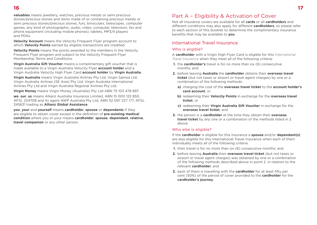**valuables** means jewellery, watches, precious metals or semi precious stones/precious stones and items made of or containing precious metals or semi precious stones/precious stones, furs, binoculars, telescopes, computer games, any kind of photographic, audio, video, computer, television, fax and phone equipment (including mobile phones), tablets, MP3/4 players and PDAs.

**Velocity Account** means the Velocity Frequent Flyer program account to which **Velocity Points** earned by eligible transactions are credited.

**Velocity Points** means the points awarded to the members in the Velocity Frequent Flyer program and subject to the Velocity Frequent Flyer Membership Terms and Conditions.

**Virgin Australia Gift Voucher** means a complimentary gift voucher that is made available to a Virgin Australia Velocity Flyer **account holder** and a Virgin Australia Velocity High Flyer Card **account holder** by **Virgin Australia**.

**Virgin Australia** means Virgin Australia Airlines Pty Ltd, Virgin Samoa Ltd, Virgin Australia Airlines (SE Asia) Pty Ltd, Virgin Australia International Airlines Pty Ltd and Virgin Australia Regional Airlines Pty Ltd.

**Virgin Money** means Virgin Money (Australia) Pty Ltd ABN 75 103 478 897.

**we**, **our**, **us** means Allianz Australia Insurance Limited, ABN 15 000 122 850, AFSL 234708 and its agent AWP Australia Pty Ltd, ABN 52 097 227 177, AFSL 245631 trading as **Allianz Global Assistance**.

**you**, **your** and **yourself** means **cardholder**, **spouse** or **dependants** if they are eligible to obtain cover except in the definition of **pre-existing medical condition** where you or your means **cardholder**, **spouse**, **dependant**, **relative**, **travel companion** or any other person.

# Part A – Eligibility & Activation of Cover

Not all insurance covers are available for all **cards** or all **cardholders** and different conditions may also apply for different **cardholders**, so please refer to each section of this booklet to determine the complimentary insurance benefits that may be available to **you**.

# International Travel Insurance

## Who is eligible?

A **cardholder** with a Virgin High Flyer Card is eligible for this *International Travel Insurance* when they meet all of the following criteria:

- **1.** the **cardholder's** travel is for no more than six (6) consecutive months; and
- **2.** before leaving **Australia** the **cardholder** obtains their **overseas travel ticket** (but not taxes or airport or travel agent charges) by one or a combination of the following methods:
	- **a)** charging the cost of the **overseas travel ticket** to the **account holder's card account**; or
	- **b)** redeeming their **Velocity Points** in exchange for the **overseas travel ticket**; or
	- **c)** redeeming their **Virgin Australia Gift Voucher** in exchange for the **overseas travel ticket**; and
- **3.** the person is a **cardholder** at the time they obtain their **overseas travel ticket** by any one or a combination of the methods listed in 2. above.

#### Who else is eligible?

If the **cardholder** is eligible for this insurance a **spouse** and/or **dependant(s)** are also eligible for this International Travel Insurance when each of them individually meets all of the following criteria:

- **1.** their travel is for no more than six (6) consecutive months; and
- **2.** before leaving **Australia** their **overseas travel ticket** (but not taxes or airport or travel agent charges) was obtained by one or a combination of the following methods described above in point 2. in relation to the relevant **cardholder**; and
- **3.** each of them is travelling with the **cardholder** for at least fifty per cent (50%) of the period of cover provided to the **cardholder** for the **cardholder's journey**.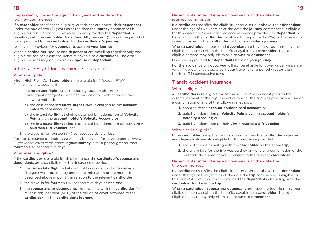#### Dependants, under the age of two years at the date the journey commences

If a **cardholder** satisfies the eligiblity criteria set out above, their **dependant**, under the age of two (2) years as at the date the **journey** commences is eligible for this *International Travel Insurance* provided the **dependant** is travelling with the **cardholder** for at least fifty per cent (50%) of the period of cover provided to the **cardholder** for the **cardholder's journey**.

No cover is provided for **dependants** born on **your journey**.

When a **cardholder**, spouse and **dependant** are travelling together only one eligible person can claim the benefits payable to a **cardholder**. The other eligible persons may only claim as a **spouse** or **dependant**.

# Interstate Flight Inconvenience Insurance

#### Who is eligible?

Virgin High Flyer Card **cardholders** are eligible for *Interstate Flight Inconvenience Insurance* if:

- **1.** the **interstate flight** ticket (excluding taxes or airport or travel agent charges) is obtained by one or a combination of the following methods:
	- **a)** the cost of the **interstate flight** ticket is charged to the **account holder's card account**; or
	- **b)** the **interstate flight** ticket is obtained by redemption of **Velocity Points** via the **account holder's Velocity Account**; or
	- **c)** the **interstate flight** ticket is obtained by redemption of their **Virgin Australia Gift Voucher**; and
- **2.** the travel is for fourteen (14) consecutive days or less.

For the avoidance of doubt, **you** will not be eligible for cover under *Interstate Flight Inconvenience Insurance* if **your journey** is for a period greater than fourteen (14) consecutive days.

#### Who else is eligible?

If the **cardholder** is eligible for this insurance, the **cardholder's spouse** and **dependants** are also eligible for this insurance provided:

- **1.** their **interstate flight** ticket (but not taxes or airport or travel agent charges) was obtained by one or a combination of the methods described above in point 1. in relation to the relevant **cardholder**;
- **2.** the travel is for fourteen (14) consecutive days or less; and
- **3.** the **spouse** and/or **dependants** are travelling with the **cardholder** for at least fifty per cent (50%) of the period of cover provided to the **cardholder** for the **cardholder's journey**.

#### Dependants under the age of two years at the date the journey commences

If a **cardholder** satisfies the eligibility criteria set out above, their **dependant** under the age of two years as at the date the **journey** commences is eligible for this *Interstate Flight Inconvenience Insurance* provided the **dependant** is travelling with the **cardholder** for at least fifty per cent (50%) of the period of cover provided to the **cardholder** for the **cardholder's journey**.

When a **cardholder**, spouse and **dependant** are travelling together only one eligible person can claim the benefits payable to a **cardholder**. The other eligible persons may only claim as a **spouse** or **dependant**.

#### No cover is provided for **dependants** born on **your journey**.

For the avoidance of doubt, **you** will not be eligible for cover under *Interstate Flight Inconvenience Insurance* if **your** travel is for a period greater than fourteen (14) consecutive days.

# Transit Accident Insurance

# Who is eligible?

All **cardholders** are eligible for *Transit Accident Insurance* if prior to the commencement of the **trip,** the entire fare for the **trip** was paid by any one or a combination of any of the following methods:

- **1.** charged to the **account holder's card account**; or
- **2.** paid by redemption of **Velocity Points** via the **account holder's Velocity Account**; or
- **3.** paid by redemption of their **Virgin Australia Gift Voucher**.

# Who else is eligible?

If the **cardholder** is eligible for this insurance then the **cardholder's spouse** and **dependants** are also eligible for this insurance provided:

- **1.** each of then is travelling with the **cardholder** on the entire **trip**;
- **2.** the entire fare for the **trip** was paid by any one or a combination of the methods described above in relation to the relevant **cardholder**.

#### Dependants under the age of two years at the date the trip commences

If a **cardholder** satisfies the eligibility criteria set out above, their **dependant** under the age of two years as at the date the **trip** commences is eligible for this *Transit Accident Insurance* provided the **dependant** is travelling with the **cardholder** for the entire **trip**.

When a **cardholder**, **spouse** and **dependant** are travelling together only one eligible person can claim the benefits payable to a **cardholder**. The other eligible persons may only claim as a **spouse** or **dependant**.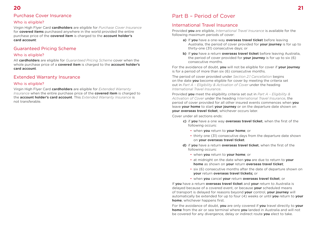# Purchase Cover Insurance

## Who is eligible?

Virgin High Flyer Card **cardholders** are eligible for *Purchase Cover Insurance* for **covered items** purchased anywhere in the world provided the entire purchase price of the **covered item** is charged to the **account holder's card account**:

# Guaranteed Pricing Scheme

# Who is eligible?

All **cardholders** are eligible for *Guaranteed Pricing Scheme* cover when the whole purchase price of a **covered item** is charged to the **account holder's card account**.

# Extended Warranty Insurance

# Who is eligible?

Virgin High Flyer Card **cardholders** are eligible for *Extended Warranty Insurance* when the entire purchase price of the **covered item** is charged to the **account holder's card account**. This *Extended Warranty Insurance* is not transferable.

# Part B – Period of Cover

# International Travel Insurance

Provided **you** are eligible, *International Travel Insurance* is available for the following maximum periods of cover:

- **a)** If **you** have a one-way **overseas travel ticket** before leaving Australia, the period of cover provided for **your journey** is for up to thirty-one (31) consecutive days; or
- **b)** If **you** have a return **overseas travel ticket** before leaving Australia, the period of cover provided for **your journey** is for up to six (6) consecutive months.

For the avoidance of doubt, **you** will not be eligible for cover if **your journey** is for a period of more than six (6) consecutive months.

The period of cover provided under *Section 2.1 Cancellation* begins on the date **you** become eligible for cover by meeting the criteria set out in *Part A – Eligibility & Activation of Cover* under the heading *International Travel Insurance*.

Provided **you** meet the eligibility criteria set out in *Part A – Eligibility & Activation of Cover* under the heading *International Travel Insurance*, the period of cover provided for all other insured events commences when **you** leave **your home** to start **your journey** or on the departure date shown on **your overseas travel ticket**, whichever occurs later.

Cover under all sections ends:

- **c)** if **you** have a one way **overseas travel ticket**, when the first of the following occurs:
	- when **you** return to **your home**; or
	- thirty one (31) consecutive days from the departure date shown on **your overseas travel ticket**.
- **d)** if **you** have a return **overseas travel ticket**, when the first of the following occurs:
	- when **you** return to **your home**; or
	- at midnight on the date when **you** are due to return to **your home** as shown on **your** return **overseas travel ticket**;
	- six (6) consecutive months after the date of departure shown on **your** return **overseas travel tickets;** or
	- when **you** cancel **your** return **overseas travel ticket**; or

If **you** have a return **overseas travel ticket** and **your** return to Australia is delayed because of a covered event, or because **your** scheduled means of transport is delayed for reasons beyond **your** control, **your journey** will automatically be extended for up to four (4) weeks or until **you** return to **your home**, whichever happens first.

For the avoidance of doubt, **you** are only covered if **you** travel directly to **your home** from the air or sea terminal where **you** landed in Australia and will not be covered for any divergence, delay or indirect route **you** elect to take.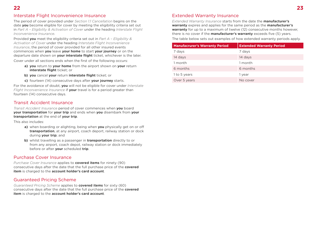# Interstate Flight Inconvenience Insurance

The period of cover provided under *Section 1.1 Cancellation* begins on the date **you** become eligible for cover by meeting the eligibility criteria set out in *Part A – Eligibility & Activation of Cover* under the heading *Interstate Flight Inconvenience Insurance*.

Provided **you** meet the eligibility criteria set out in *Part A – Eligibility & Activation of Cover* under the heading *Interstate Flight Inconvenience Insurance*, the period of cover provided for all other insured events commences when **you** leave **your home** to start **your journey** or on the departure date shown on **your interstate flight** ticket, whichever is the later.

Cover under all sections ends when the first of the following occurs:

- **a) you** return to **your home** from the airport shown on **your** return **interstate flight** ticket; or
- **b) you** cancel **your** return **interstate flight** ticket; or
- **c)** fourteen (14) consecutive days after **your journey** starts.

For the avoidance of doubt, **you** will not be eligible for cover under *Interstate Flight Inconvenience Insurance* if **your** travel is for a period greater than fourteen (14) consecutive days.

# Transit Accident Insurance

*Transit Accident Insurance* period of cover commences when **you** board **your transportation** for **your trip** and ends when **you** disembark from **your transportation** at the end of **your trip**.

This also includes:

- **a)** when boarding or alighting, being when **you** physically get on or off **transportation**, at any airport, coach deport, railway station or dock during **your trip**; and
- **b)** whilst travelling as a passenger in **transportation** directly to or from any airport, coach depot, railway station or dock immediately before or after **your** scheduled **trip**.

# Purchase Cover Insurance

*Purchase Cover Insurance* applies to **covered items** for ninety (90) consecutive days after the date that the full purchase price of the **covered item** is charged to the **account holder's card account**.

# Guaranteed Pricing Scheme

*Guaranteed Pricing Scheme* applies to **covered items** for sixty (60) consecutive days after the date that the full purchase price of the **covered item** is charged to the **account holder's card account**.

# Extended Warranty Insurance

*Extended Warranty Insurance* starts from the date the **manufacturer's warranty** expires and applies for the same period as the **manufacturer's warranty** for up to a maximum of twelve (12) consecutive months however, there is no cover if the **manufacturer's warranty** exceeds five (5) years.

The table below sets out examples of how extended warranty periods apply.

| <b>Manufacrurer's Warranty Period</b> | <b>Extended Warranty Period</b> |
|---------------------------------------|---------------------------------|
| 7 days                                | 7 days                          |
| 14 days                               | 14 days                         |
| 1 month                               | 1 month                         |
| 6 months                              | 6 months                        |
| 1 to 5 years                          | 1 year                          |
| Over 5 years                          | No cover                        |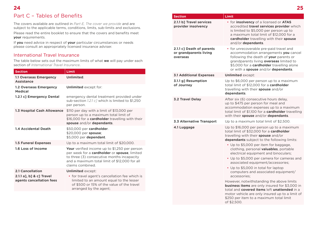**24 25** Part C – Tables of Benefits

The covers available are outlined in *Part E, The cover we provide* and are subject to the applicable terms, conditions, limits, sub-limits and exclusions. Please read the entire booklet to ensure that the covers and benefits meet **your** requirements.

If **you** need advice in respect of **your** particular circumstances or needs please consult an appropriately licensed insurance adviser.

# International Travel Insurance

The table below sets out the maximum limits of what **we** will pay under each section of *International Travel Insurance*.

| <b>Section</b>                                       | Limit                                                                                                                                                                                                                           |
|------------------------------------------------------|---------------------------------------------------------------------------------------------------------------------------------------------------------------------------------------------------------------------------------|
| <b>1.1 Overseas Emergency</b><br><b>Assistance</b>   | Unlimited.                                                                                                                                                                                                                      |
| <b>1.2 Overseas Emergency</b><br><b>Medical</b>      | <b>Unlimited</b> except for:                                                                                                                                                                                                    |
| 1.2.1 c] Emergency Dental                            | emergency dental treatment provided under<br>sub-section 1.2.1 c7 which is limited to \$1,250<br>per person.                                                                                                                    |
| <b>1.3 Hospital Cash Allowance</b>                   | \$110 per day with a limit of \$13,000 per<br>person up to a maximum total limit of<br>\$16,000 for a cardholder travelling with their<br>spouse and/or dependants.                                                             |
| <b>1.4 Accidental Death</b>                          | \$50,000 per cardholder.<br>\$20,000 per spouse:<br>\$5,000 per dependant.                                                                                                                                                      |
| <b>1.5 Funeral Expenses</b>                          | Up to a maximum total limit of \$20,000.                                                                                                                                                                                        |
| 1.6 Loss of Income                                   | Your verified income up to \$1,250 per person<br>per week for a <b>cardholder</b> or <b>spouse</b> , limited<br>to three (3) consecutive months incapacity<br>and a maximum total limit of \$12,000 for all<br>claims combined. |
| 2.1 Cancellation                                     | <b>Unlimited except:</b>                                                                                                                                                                                                        |
| 2.1.1 a], b] & c] Travel<br>agents cancellation fees | • for travel agent's cancellation fee which is<br>limited to an amount equal to the lesser<br>of \$500 or 15% of the value of the travel<br>arranged by the agent;                                                              |

|                                                                 | Limit                                                                                                                                                                                                                                                                                                                 |
|-----------------------------------------------------------------|-----------------------------------------------------------------------------------------------------------------------------------------------------------------------------------------------------------------------------------------------------------------------------------------------------------------------|
| <b>Section</b>                                                  |                                                                                                                                                                                                                                                                                                                       |
| 2.1.1 b1 Travel services<br>provider insolvency                 | • for insolvency of a licensed or ATAS<br>accredited travel services provider which<br>is limited to \$5,000 per person up to<br>a maximum total limit of \$12,000 for a<br>cardholder travelling with their spouse<br>and/or dependants.                                                                             |
| 2.1.1 c] Death of parents<br>or grandparents living<br>overseas | • for unrecoverable pre-paid travel and<br>accommodation arrangements you cancel<br>following the death of your parents or<br>grandparents living overseas limited to<br>\$5,000 for a cardholder travelling alone<br>or with a spouse and/or dependants.                                                             |
| <b>3.1 Additional Expenses</b>                                  | <b>Unlimited except:</b>                                                                                                                                                                                                                                                                                              |
| 3.1.1 g] Resumption<br>of Journey                               | Up to \$6,000 per person up to a maximum<br>total limit of \$12,000 for a cardholder<br>travelling with their <b>spouse</b> and/or<br>dependants.                                                                                                                                                                     |
| <b>3.2 Travel Delay</b>                                         | After six (6) consecutive hours delay,<br>up to \$475 per person for meal and<br>accommodation expenses up to a maximum<br>total limit of \$1,100 for a cardholder travelling<br>with their <b>spouse</b> and/or <b>dependants</b> .                                                                                  |
| <b>3.3 Alternative Transport</b>                                | Up to a maximum total limit of \$2,500.                                                                                                                                                                                                                                                                               |
| 4.1 Luggage                                                     | Up to \$16,000 per person up to a maximum<br>total limit of \$32,000 for a cardholder<br>travelling with their spouse and/or<br><b>dependants</b> subject to the following limits:<br>• Up to \$5,000 per item for baggage,<br>clothing, personal <b>valuables</b> , portable<br>electrical equipment and binoculars; |
|                                                                 | • Up to \$5,000 per camera for cameras and<br>associated equipment/accessories;                                                                                                                                                                                                                                       |
|                                                                 | • Up to \$5,000 in total for laptop<br>computers and associated equipment/<br>accessories:                                                                                                                                                                                                                            |
|                                                                 | However, notwithstanding the above limits<br><b>business items</b> are only insured for \$3,000 in<br>total and covered items left unattended in a<br>motor vehicle are only insured up to a limit of<br>\$250 per item to a maximum total limit<br>of \$2,500.                                                       |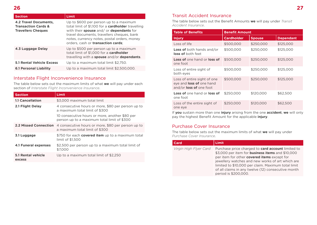| <b>Section</b>                                                                              | <b>Limit</b>                                                                                                                                                                                                                                                                      |
|---------------------------------------------------------------------------------------------|-----------------------------------------------------------------------------------------------------------------------------------------------------------------------------------------------------------------------------------------------------------------------------------|
| <b>4.2 Travel Documents,</b><br><b>Transaction Cards &amp;</b><br><b>Travellers Cheques</b> | Up to \$600 per person up to a maximum<br>total limit of \$1,100 for a <b>cardholder</b> travelling<br>with their spouse and/or dependants for<br>travel documents, travellers cheques, bank<br>notes, currency notes, postal orders, money<br>orders, cash or transaction cards; |
| 4.3 Luggage Delay                                                                           | Up to \$500 per person up to a maximum<br>total limit of \$1,000 for a cardholder<br>travelling with a spouse and/or dependants.                                                                                                                                                  |
| <b>5.1 Rental Vehicle Excess</b>                                                            | Up to a maximum total limit \$2,750.                                                                                                                                                                                                                                              |
| <b>6.1 Personal Liability</b>                                                               | Up to a maximum total limit \$2,500,000.                                                                                                                                                                                                                                          |

# Interstate Flight Inconvenience Insurance

The table below sets out the maximum limits of what **we** will pay under each section of *Interstate Flight Inconvenience Insurance*.

| <b>Section</b>               | <b>Limit</b>                                                                                  |
|------------------------------|-----------------------------------------------------------------------------------------------|
| <b>1.1 Cancellation</b>      | \$3.000 maximum total limit                                                                   |
| 2.1 Flight Delay             | 4 consecutive hours or more, \$80 per person up to<br>a maximum total limit of \$300          |
|                              | 10 consecutive hours or more, another \$80 per<br>person up to a maximum total limit of \$300 |
| <b>2.2 Missed Connection</b> | 4 consecutive hours or more, \$80 per person up to<br>a maximum total limit of \$300          |
| 3.1 Luggage                  | \$750 for each <b>covered item</b> up to a maximum total<br>limit of \$1.500                  |
| <b>4.1 Funeral expenses</b>  | \$2,500 per person up to a maximum total limit of<br>\$7,000                                  |
| 5.1 Rental vehicle<br>excess | Up to a maximum total limit of \$2,250                                                        |

# Transit Accident Insurance

The table below sets out the Benefit Amounts **we** will pay under *Transit Accident Insurance*.

| <b>Table of Benefits</b>                                                                         | <b>Benefit Amount</b> |               |                  |
|--------------------------------------------------------------------------------------------------|-----------------------|---------------|------------------|
| <b>Injury</b>                                                                                    | <b>Cardholder</b>     | <b>Spouse</b> | <b>Dependant</b> |
| Loss of life                                                                                     | \$500,000             | \$250,000     | \$125,000        |
| <b>Loss of</b> both hands and/or<br>loss of both feet                                            | \$500,000             | \$250,000     | \$125,000        |
| Loss of one hand or loss of<br>one foot                                                          | \$500,000             | \$250,000     | \$125,000        |
| Loss of entire sight of<br>both eyes                                                             | \$500,000             | \$250,000     | \$125,000        |
| Loss of entire sight of one<br>eye and <b>loss of</b> one hand<br>and/or <b>loss of</b> one foot | \$500,000             | \$250,000     | \$125,000        |
| <b>Loss of</b> one hand or <b>loss of</b><br>one foot                                            | \$250,000             | \$120,000     | \$62,500         |
| Loss of the entire sight of<br>one eye                                                           | \$250,000             | \$120,000     | \$62,500         |

If **you** sustain more than one **injury** arising from the one **accident**, **we** will only pay the highest Benefit Amount for the applicable **injury**.

# Purchase Cover Insurance

The table below sets out the maximum limits of what **we** will pay under *Purchase Cover Insurance*.

| Card                   | <b>Limit</b>                                                                                                                                                                                                                                                                                                                                               |
|------------------------|------------------------------------------------------------------------------------------------------------------------------------------------------------------------------------------------------------------------------------------------------------------------------------------------------------------------------------------------------------|
| Virgin High Flyer Card | Purchase price charged to <b>card account</b> limited to<br>\$3,000 per item for <b>business items</b> and \$10,000<br>per item for other covered items except for<br>jewellery watches and new works of art which are<br>limited to \$10,000 per claim. Maximum total limit<br>of all claims in any twelve (12) consecutive month<br>period is \$200,000. |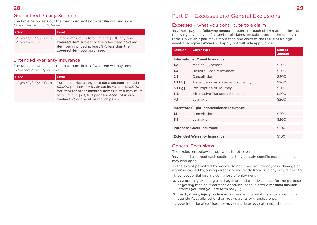# Guaranteed Pricing Scheme

The table below sets out the maximum limits of what **we** will pay under *Guaranteed Pricing Scheme*.

| Card                                        | Limit                                                                                                                                                                                 |
|---------------------------------------------|---------------------------------------------------------------------------------------------------------------------------------------------------------------------------------------|
| Virgin High Flyer Card<br>Virgin Flyer Card | Up to a maximum total limit of \$500 any one<br>covered item subject to the advertised covered<br><b>item</b> being priced at least \$75 less than the<br>covered item you purchased. |

# Extended Warranty Insurance

The table below sets out the maximum limits of what **we** will pay under *Extended Warranty Insurance*.

| Virgin High Flyer Card | Purchase price charged to <b>card account</b> limited to<br>\$3,000 per item for <b>business items</b> and \$20,000<br>per item for other <b>covered items</b> up to a maximum<br>total limit of \$20,000 per card account in any<br>twelve (12) consecutive month period. |
|------------------------|----------------------------------------------------------------------------------------------------------------------------------------------------------------------------------------------------------------------------------------------------------------------------|

# Part D – Excesses and General Exclusions

# Excesses – what you contribute to a claim

**You** must pay the following **excess** amounts for each claim made under the following covers even if a number of claims are submitted on the one claim form. However If **you** make more than one claim as the result of a single event, the highest **excess** will apply but will only apply once.

| <b>Section</b>                            | <b>Cover type</b>                          | <b>Excess</b><br>amount |  |  |
|-------------------------------------------|--------------------------------------------|-------------------------|--|--|
| <b>International Travel Insurance</b>     |                                            |                         |  |  |
| 1.2                                       | <b>Medical Expenses</b>                    | \$200                   |  |  |
| 1.3                                       | <b>Hospital Cash Allowance</b>             | \$200                   |  |  |
| 2.1                                       | Cancellation                               | \$200                   |  |  |
| 2.1.1 b]                                  | <b>Travel Services Provider Insolvency</b> | \$200                   |  |  |
| $3.1.1$ g]                                | Resumption of Journey                      | \$200                   |  |  |
| 3.3                                       | <b>Alternative Transport Expenses</b>      | \$200                   |  |  |
| 4.1                                       | Luggage                                    | \$200                   |  |  |
|                                           |                                            |                         |  |  |
| Interstate Flight Inconvenience Insurance |                                            |                         |  |  |
|                                           |                                            |                         |  |  |

| 1.1                                | Cancellation | \$200 |  |  |
|------------------------------------|--------------|-------|--|--|
| 3.1                                | Luggage      | \$200 |  |  |
|                                    |              |       |  |  |
| <b>Purchase Cover Insurance</b>    |              | \$100 |  |  |
|                                    |              |       |  |  |
| <b>Extended Warranty Insurance</b> |              | \$100 |  |  |

# General Exclusions

The exclusions below set out what is not covered.

**You** should also read each section as they contain specific exclusions that may also apply.

To the extent permitted by law we do not cover you for any loss, damage or expense caused by, arising directly or indirectly from or in any way related to:

- **1.** consequential loss including loss of enjoyment;
- **2. you** booking or taking travel against medical advice, take for the purpose of getting medical treatment or advice, or take after a **medical adviser** informs **you** that **you** are terminally ill;
- **3.** death, illness, **injury**, **sickness** or disease of or relating to persons living outside Australia, other than **your** parents or grandparents;
- **4. your** intentional self harm or **your** suicide or **your** attempted suicide;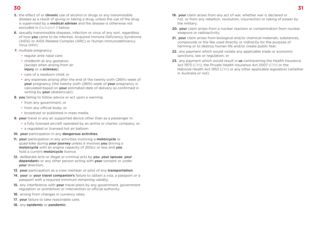# **30 31**

- **5.** the effect of or **chronic** use of alcohol or drugs or any transmissible disease as a result of giving or taking a drug, unless the use of the drug is supervised by a **medical adviser** and the disease is otherwise not excluded in *Exclusion 5* below;
- **6.** sexually transmissible diseases, infection or virus of any sort, regardless of how **you** came to be infected, Acquired Immune Deficiency Syndrome (AIDS) or AIDS Related Complex (ARC) or Human Immunodeficiency Virus (HIV);
- **7.** multiple pregnancy:
	- regular ante natal care;
	- childbirth at any gestation (except when arising from an **injury** or a **sickness**);
	- care of a newborn child; or
	- any expenses arising after the end of the twenty sixth (26th) week of **your** pregnancy (the twenty sixth (26th) week of **your** pregnancy is calculated based on **your** estimated date of delivery as confirmed in writing by **your** obstetrician);
- **8. you** failing to follow advice or act upon a warning:
	- from any government; or
	- from any official body; or
	- broadcast or published in mass media.
- **9. your** travel in any air supported device other than as a passenger in:
	- a fully licensed aircraft operated by an airline or charter company; or
	- a regulated or licensed hot air balloon.
- **10. your** participation in any **dangerous activities**;
- **11. your** participation in any activities involving a **motorcycle** or quad-bike during **your journey** unless it involves **you** driving a **motorcycle** with an engine capacity of 200cc or less and **you** hold a current **motorcycle** licence;
- **12.** deliberate acts or illegal or criminal acts by **you**, **your spouse**, **your dependant**s or any other person acting with **your** consent or under **your** direction;
- **13. your** participation as a crew member or pilot of any **transportation**;
- **14. your** or **your travel companion's** failure to obtain a visa, a passport or a passport with a required minimum remaining validity;
- **15.** any interference with **your** travel plans by any government, government regulation or prohibition or intervention or official authority;
- **16.** arising from changes in currency rates;
- **17. your** failure to take reasonable care;
- **18.** any **epidemic** or **pandemic**;
- **19. your** claim arises from any act of war, whether war is declared or not, or from any rebellion, revolution, insurrection or taking of power by the military;
- **20. your** claim arises from a nuclear reaction or contamination from nuclear weapons or radioactivity;
- **21. your** claim arises from biological and/or chemical materials, substances, compounds or the like used directly or indirectly for the purpose of harming or to destroy human life and/or create public fear;
- **22.** any payment which would violate any applicable trade or economic sanctions, law or regulation; or
- **23.** any payment which would result in **us** contravening the Health Insurance Act 1973 (*Cth*), the Private Health Insurance Act 2007 (*Cth*) or the National Health Act 1953 (*Cth*) or any other applicable legislation (whether in Australia or not).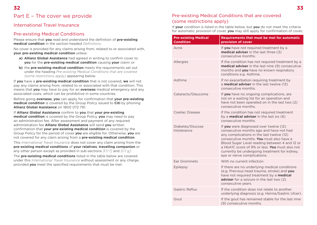# International Travel Insurance

# Pre-existing Medical Conditions

Please ensure that **you** read and understand the definition of **pre-existing medical condition** in the section headed *Definitions*.

No cover is provided for any claims arising from, related to or associated with, **your pre-existing medical condition** unless:

- **a) Allianz Global Assistance** had agreed in writing to confirm cover to **you** for the **pre-existing medical condition** causing **your** claim; or
- **b)** the **pre-existing medical condition** meets the requirements set out under the heading *Pre-existing Medical Conditions that are covered (some restrictions apply)* appearing below.

If **you** have a **pre-existing medical condition** that is not covered, **we** will not pay any claims arising from, related to or associated with that condition. This means that **you** may have to pay for an **overseas** medical emergency and any associated costs, which can be prohibitive in some countries.

Before going **overseas**, **you** can apply for confirmation that **your pre-existing medical condition** is covered by the Group Policy issued to **Citi** by phoning **Allianz Global Assistance** on 1800 072 791.

If **Allianz Global Assistance** confirm to **you** that **your pre-existing medical condition** is covered by the Group Policy, **you** may need to pay an administration fee. After assessment and payment of any required administration fee **Allianz Global Assistance** will send **you** written confirmation that **your pre-existing medical condition** is covered by the Group Policy for the period of cover **you** are eligible for. Otherwise, **you** are not covered for any claim arising from a **pre-existing medical condition**.

This *International Travel Insurance* does not cover any claim arising from the **pre-existing medical conditions** of **your relatives**, **travelling companion** or any other person except as provided in sub-sections *3.1.1 f]* and *3.1.1 g]*.

The **pre-existing medical conditions** listed in the table below are covered under this *International Travel Insurance* without assessment or any charge, provided **you** meet the specified requirements that must be met.

# Pre-existing Medical Conditions that are covered (some restrictions apply)

If **your** condition is listed in the table below, but **you** do not meet the criteria for automatic provision of cover, **you** may still apply for confirmation of cover;

| <b>Pre-existing Medical</b><br><b>Condition</b> | <b>Requirements that must be met for automatic</b><br>provision of cover                                                                                                                                                                                                                                                                                      |
|-------------------------------------------------|---------------------------------------------------------------------------------------------------------------------------------------------------------------------------------------------------------------------------------------------------------------------------------------------------------------------------------------------------------------|
| Acne                                            | If you have not required treatment by a<br><b>medical adviser</b> in the last three (3)<br>consecutive months.                                                                                                                                                                                                                                                |
| Allergies                                       | If the condition has not required treatment by a<br><b>medical adviser</b> in the last nine (9) consecutive<br>months and you have no known respiratory<br>conditions e.g. Asthma.                                                                                                                                                                            |
| Asthma                                          | If no exacerbation requiring treatment by<br>a <b>medical adviser</b> in the last twelve (12)<br>consecutive months.                                                                                                                                                                                                                                          |
| Cataracts/Glaucoma                              | If you have no ongoing complications, are<br>not on a waiting list for an operation and<br>have not been operated on in the last two (2)<br>consecutive months.                                                                                                                                                                                               |
| Coeliac Disease                                 | If the condition has not required treatment<br>by a <b>medical adviser</b> in the last six (6)<br>consecutive months.                                                                                                                                                                                                                                         |
| Diabetes/Glucose<br>Intolerance                 | If you were diagnosed over twelve (12)<br>consecutive months ago and have not had<br>any complications in the last twelve (12)<br>consecutive months. You must also have a<br>Blood Sugar Level reading between 4 and 12 or<br>a HbA1C score of 9% or less. You must also not<br>currently be undergoing treatment for kidney,<br>eye or nerve complications. |
| Ear Grommets                                    | With no current infection.                                                                                                                                                                                                                                                                                                                                    |
| Epilepsy                                        | If there are no underlying medical conditions<br>(e.g. Previous head trauma, stroke) and you<br>have not required treatment by a medical<br>adviser for a seizure in the last two (2)<br>consecutive years.                                                                                                                                                   |
| Gastric Reflux                                  | If the condition does not relate to another<br>underlying diagnosis (e.g. Hernia/Gastric Ulcer).                                                                                                                                                                                                                                                              |
| Gout                                            | If the gout has remained stable for the last nine<br>(9) consecutive months.                                                                                                                                                                                                                                                                                  |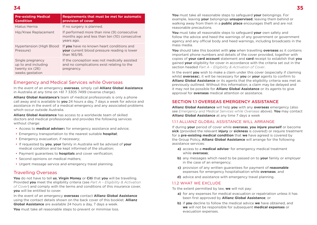| <b>Pre-existing Medical</b><br><b>Condition</b>                               | Requirements that must be met for automatic<br>provision of cover                                                |
|-------------------------------------------------------------------------------|------------------------------------------------------------------------------------------------------------------|
| Hiatus Hernia                                                                 | If no surgery is planned.                                                                                        |
| Hip/Knee Replacement                                                          | If performed more than nine (9) consecutive<br>months ago and less than ten (10) consecutive<br>years ago.       |
| Hypertension (High Blood<br>Pressure)                                         | If you have no known heart conditions and<br><b>your</b> current blood pressure reading is lower<br>than 165/95. |
| Single pregnancy<br>up to and including<br>twenty six (26)<br>weeks gestation | If the conception was not medically assisted<br>and no complications exist relating to the<br>pregnancy.         |

## Emergency and Medical Services while Overseas

In the event of an emergency **overseas**, simply call **Allianz Global Assistance** in Australia at any time on +61 7 3305 7499 (reverse charge).

**Allianz Global Assistance's** team of medical professionals is only a phone call away and is available to **you** 24 hours a day, 7 days a week for advice and assistance in the event of a medical emergency and any associated problems which occur outside Australia.

**Allianz Global Assistance** has access to a worldwide team of skilled doctors and medical professionals and provides the following services without charge:

- Access to **medical adviser**s for emergency assistance and advice;
- Emergency transportation to the nearest suitable **hospital**;
- Emergency evacuation, if necessary;
- If requested by **you**, **your** family in Australia will be advised of **your** medical condition and be kept informed of the situation;
- Payment guarantees to **hospitals** and cover verification;
- Second opinions on medical matters;
- Urgent message service and emergency travel planning.

## Travelling Overseas

**You** do not have to tell **us**, **Virgin Money** or **Citi** that **you** will be travelling. Provided **you** meet the eligibility criteria (see *Part A – Eligibility & Activation of Cover*) and comply with the terms and conditions of this insurance cover, **you** will be entitled to cover.

In the event of an emergency **overseas** contact **Allianz Global Assistance** using the contact details shown on the back cover of this booklet. **Allianz Global Assistance** are available 24 hours a day, 7 days a week.

**You** must take all reasonable steps to prevent or minimise loss.

**You** must take all reasonable steps to safeguard **your** belongings. For example, leaving **your** belongings **unsupervised**, leaving them behind or walking away from them in a **public place** encourages theft and are not reasonable precautions.

**You** must take all reasonable steps to safeguard **your** own safety and follow the advice and heed the warnings of any government or government agency and any official body and heed warnings, including broadcasts in the mass media.

**You** should take this booklet with **you** when travelling **overseas** as it contains important phone numbers and details of the cover provided, together with copies of **your card account** statement and **card** receipt to establish that **you** gained **your** eligibility for cover in accordance with the criteria set out in the section headed *Part A – Eligibility & Activation of Cover*.

In the event **you** wish to make a claim under this cover (especially if claiming whilst **overseas**), it will be necessary for **you** or **your** agents to confirm to **Allianz Global Assistance** or its agents that the eligibility criteria was met as previously outlined. Without this information, a claim may be delayed and it may not be possible for **Allianz Global Assistance** or its agents to give approval for **overseas** medical attention or assistance.

#### SECTION 11 OVERSEAS EMERGENCY ASSISTANCE

**Allianz Global Assistance** will help **you** with any **overseas** emergency (also see *Emergency and Medical Services while Overseas* above). **You** may contact **Allianz Global Assistance** at any time 7 days a week

#### 1.1.1 ALLIANZ GLOBAL ASSISTANCE WILL ARRANGE

If during **your** period of cover while **overseas**, **you injure yourself** or become **sick** (provided the relevant **injury** or **sickness** is covered) or require treatment for a **pre-existing medical condition** that **we** have agreed is covered by the Group Policy, **Allianz Global Assistance** will arrange for the following assistance services:

- **a)** access to a **medical advise**r for emergency medical treatment while **overseas**;
- **b)** any messages which need to be passed on to **your** family or employer in the case of an emergency;
- **c)** provision of any written guarantees for payment of **reasonable** expenses for emergency hospitalisation while **overseas**; and
- **d)** advice and assistance with emergency travel planning.

#### 1.1.2 WHAT WE EXCLUDE

To the extent permitted by law, **we** will not pay:

- **a)** for any expenses for medical evacuation or repatriation unless it has been first approved by **Allianz Global Assistance**; or
- **b)** if **you** decline to follow the medical advice **we** have obtained, and **we** will not be responsible for subsequent **medical expenses** or evacuation expenses.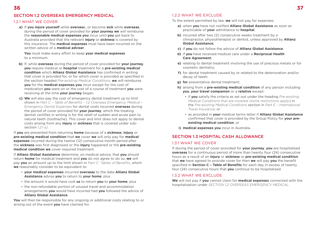## SECTION 1.2 OVERSEAS EMERGENCY MEDICAL

#### 1.2.1 WHAT WE COVER

**a)** If **you injure yourself** while **oversea**s, or become **sick** while **overseas**, during the period of cover provided for **your journey we** will reimburse the **reasonable medical expenses you** incur until **you** get back to Australia provided that the relevant **injury** or **sickness** is covered by this insurance. The **medical expenses** must have been incurred on the written advice of a **medical adviser**.

**You** must make every effort to keep **your medical expenses** to a minimum.

- **b)** If, while **overseas** during the period of cover provided for **your journey**, **you** require medical or **hospital** treatment for a **pre-existing medical condition** which **Allianz Global Assistance** has confirmed in writing that cover is provided for, or for which cover is provided as specified in the section headed *Pre-existing Medical Conditions*, **we** will reimburse **you** for the **medical expenses you** incur except for the cost of medication **you** were on or the cost of a course of treatment **you** were receiving at the time **your journey** began.
- **c) We** will also pay the cost of emergency dental treatment up to limit shown in *Part C – Table of Benefits – 1.2 Overseas Emergency Medical – Emergency Dental Expenses* for dental costs incurred **overseas** during the period of cover provided for **your journey**, which the treating dentist certifies in writing is for the relief of sudden and acute pain to natural teeth (toothache). This cover and limit does not apply to dental costs arising from any **injury** or **sickness** that is covered under subsection *1.2.1 a]*.

If **you** are prevented from returning **home** because of a **sickness**, **injury** or **pre-existing medical condition** that **we** cover **we** will only pay for **medical expenses** incurred during the twelve (12) consecutive month period after the **sickness** was first diagnosed or the **injury** happened or the **pre-existing medical condition we** cover required treatment.

If **Allianz Global Assistance** determine, on medical advice, that **you** should return **home** for medical treatment and **you** do not agree to do so, **we** will pay **you** an amount up to the limit shown in *Part C- Tables of Benefits*, which **we** reasonably consider to be equivalent to:

- **your medical expenses** incurred **overseas** to the date **Allianz Global Assistance** advise **you** to return to **your home**; plus
- the amount it would have cost **us** to return **you** to **your home**; plus
- the non-refundable portion of unused travel and accommodation arrangements **you** would have incurred had **you** followed the advice of **Allianz Global Assistance**.

**You** will then be responsible for any ongoing or additional costs relating to or arising out of the event **you** have claimed for.

#### 1.2.2 WHAT WE EXCLUDE

To the extent permitted by law, **we** will not pay for expenses:

- **a)** when **you** have not notified **Allianz Global Assistance** as soon as practicable of **your** admittance to **hospital**;
- **b)** incurred after two (2) consecutive weeks treatment by a chiropractor, physiotherapist or dentist, unless approved by **Allianz Global Assistance**;
- **c)** if **you** do not follow the advice of **Allianz Global Assistance**;
- **d)** if **you** have received medical care under a **Reciprocal Health Care Agreement**;
- **e)** relating to dental treatment involving the use of precious metals or for cosmetic dentistry;
- **f)** for dental treatment caused by or related to the deterioration and/or decay of teeth;
- **g) for** preventative dental treatment:
- **h)** arising from a **pre-existing medical condition** of any person including **you**, **your travel companion** or a **relative** except:
	- if **you** satisfy the criteria as set out under the heading *Pre-existing Medical Conditions that are covered (some restrictions apply*) in the *Pre-existing Medical Conditions* section in *Part E – International Travel Insurance*; or
	- as provided in **your** medical terms letter if **Allianz Global Assistance** confirmed that cover is provided by the Group Policy for **your preexisting medical condition**; or

**i) medical expenses you** incur in Australia.

#### SECTION 1.3 HOSPITAL CASH ALLOWANCE

#### 1.3.1 WHAT WE COVER

If during the period of cover provided for **your journey**, **you** are hospitalised **overseas** for a continuous period of more than twenty four (24) consecutive hours as a result of an **injury** or **sickness** or **pre-existing medical condition** that **we** have agreed to provide cover for then **we** will pay **you** the benefit specified in **Section C – Table of Benefits** for each day in excess of twenty four (24) consecutive hours that **you** continue to be hospitalised.

#### 1.3.2 WHAT WE EXCLUDE

**We** will not pay if **you** cannot claim for **medical expenses** connected with the hospitalisation under *SECTION 1.2 OVERSEAS EMERGENCY MEDICAL*.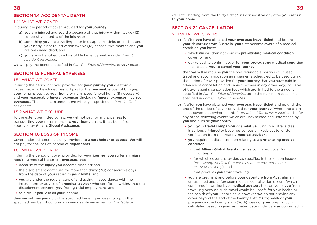# SECTION 1.4 ACCIDENTAL DEATH

#### 1.4.1 WHAT WE COVER

If, during the period of cover provided for **your journey**:

- **a) you** are **injured** and **you** die because of that **injury** within twelve (12) consecutive months of the **injury**; or
- **b)** something **you** are travelling on or in disappears, sinks or crashes and **your** body is not found within twelve (12) consecutive months and **you** are presumed dead; and
- **c) you** are not entitled to a loss of life benefit payable under *Transit Accident Insurance*,

**we** will pay the benefit specified in *Part C – Table of Benefits*, to **your** estate.

## SECTION 1.5 FUNERAL EXPENSES

#### 1.5.1 WHAT WE COVER

If during the period of cover provided for **your journey you** die from a cause that is not excluded, **we** will pay for the **reasonable** cost of bringing **your** remains back to **your home** or nominated funeral home (if necessary) and **your reasonable funeral expenses** (including **funeral expenses** incurred **overseas**). The maximum amount **we** will pay is specified in *Part C – Table of Benefits*.

#### 1.5.2 WHAT WE EXCLUDE

To the extent permitted by law, **we** will not pay for any expenses for transporting **your** remains back to **your home** unless it has been first approved by **Allianz Global Assistance**.

#### SECTION 1.6 LOSS OF INCOME

Cover under this section is only provided to a **cardholder** or **spouse**. **We** will not pay for the loss of income of **dependants**.

#### 1.6.1 WHAT WE COVER

If during the period of cover provided for **your journey**, **you** suffer an **injury** requiring medical treatment **overseas**, and:

- because of the **injury you** become disabled; and
- the disablement continues for more than thirty (30) consecutive days from the date of **your** return to **your home**; and
- **you** are under the regular care of and acting in accordance with the instructions or advice of a **medical adviser** who certifies in writing that the disablement prevents **you** from gainful employment; and
- as a result **you** lose all **your** income,

then **we** will pay **you** up to the specified benefit per week for up to the specified number of continuous weeks as shown in *Section C – Table of* 

*Benefits*, starting from the thirty first (31st) consecutive day after **your** return to **your home**.

#### SECTION 2.1 CANCELLATION

#### 2.1.1 WHAT WE COVER:

- **a)** If, after **you** have obtained **your overseas travel ticket** and before **your** departure from Australia, **you** first become aware of a medical condition **you** have:
	- which **we** will then not confirm **pre-existing medical condition** cover for; and
	- **our** refusal to confirm cover for **your pre-existing medical condition**  then causes **you** to cancel **your journey**,

then **we** will reimburse **you** the non-refundable portion of unused travel and accommodation arrangements scheduled to be used during the period of cover provided for **your journey** that **you** have paid in advance of cancellation and cannot recover in any other way, inclusive of travel agent's cancellation fees which are limited to the amount specified in *Part C – Table of Benefits*, up to the maximum total limit specified in *Part C – Table of Benefits*.

- **b)** If, after **you** have obtained **your overseas travel ticket** and up until the end of the period of cover provided for **your journey** (where the claim is not covered elsewhere in this *International Travel Insurance*) and is for any of the following events which are unexpected and unforeseen by **you** and outside **your** control:
	- **you**, **your travel companion** or a **relative** living in Australia dies, is seriously **injured** or becomes seriously ill (subject to written verification from the treating **medical adviser**);
	- **you** require medical attention relating to a **pre-existing medical condition:**
		- that **Allianz Global Assistance** has confirmed cover for in writing; or
		- for which cover is provided as specified in the section headed *Pre-existing Medical Conditions that are covered (some restrictions apply*); and
		- that prevents **you** from travelling;
	- **you** are pregnant and before **your** departure from Australia, an unexpected and unforeseen medical complication occurs (which is confirmed in writing by a **medical adviser**) that prevents **you** from travelling because such travel would be unsafe for **your** health or the health of **your** unborn child however, **we** do not provide any cover beyond the end of the twenty sixth (26th) week of **your** pregnancy (the twenty sixth (26th) week of **your** pregnancy is calculated based on **your** estimated date of delivery as confirmed in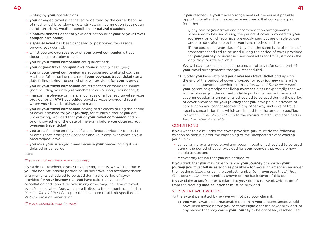writing by **your** obstetrician);

- **your** arranged travel is cancelled or delayed by the carrier because of mechanical breakdown, riots, strikes, civil commotion (but not an act of terrorism), weather conditions or **natural disasters**;
- a **natural disaster** either at **your** destination or at **your** or **your travel companion's home**;
- a **special event** has been cancelled or postponed for reasons beyond **your** control;
- whilst **you** are **overseas your** or **your travel companion's** travel documents are stolen or lost;
- **you** or **your travel companion** are quarantined;
- **your** or **your travel companion's home** is totally destroyed;
- **you** or **your travel companion** are subpoenaed to attend court in Australia (after having purchased **your overseas travel ticket**) on a date falling during the period of cover provided for **your journey**;
- **you** or **your travel companion** are retrenched or made redundant (not including voluntary retrenchment or voluntary redundancy);
- financial **insolvency** or financial collapse of a licensed travel services provider or an **ATAS** accredited travel services provider through whom **your** travel bookings were made;
- **you** or **your travel companion** having to sit exams during the period of cover provided for **your journey**, for studies either of **you** are undertaking, provided that **you** or **your travel companion** had no prior knowledge of the date of the exam before **you** obtained **your overseas travel ticket**;
- **you** are a full time employee of the defence services or police, fire or ambulance emergency services and your employer cancels **your** prearranged leave.
- **you** miss **your** arranged travel because **your** preceding flight was delayed or cancelled.

#### then:

#### *(If you do not reschedule your journey)*

if **you** do not reschedule **your** travel arrangements, **we** will reimburse **you** the non-refundable portion of unused travel and accommodation arrangements scheduled to be used during the period of cover provided for **your journey** that **you** have paid in advance of cancellation and cannot recover in any other way, inclusive of travel agent's cancellation fees which are limited to the amount specified in *Part C – Table of Benefits*, up to the maximum total limit specified in *Part C – Table of Benefits*; or

#### *(If you reschedule your journey)*

if **you** reschedule **your** travel arrangements at the earliest possible opportunity after the unexpected event, **we** will at **our** option pay for either:

i] any part of **your** travel and accommodation arrangements scheduled to be used during the period of cover provided for **your journey** (for which **you** have previously paid but are unable to use and are non-refundable) that **you** have rescheduled; or

ii] the cost of a higher class of travel on the same type of means of transport scheduled to be used during the period of cover provided for **your journey**, or increased seasonal rates for travel, if that is the only class or rate available.

**We** will pay these costs minus the amount of any refundable part of **your** travel arrangements that **you** rescheduled.

**c)** If, after **you** have obtained **your overseas travel ticket** and up until the end of the period of cover provided for **your journey** (where the claim is not covered elsewhere in this *International Travel Insurance*) **your** parent or grandparent living **overseas** dies unexpectedly then **we** will reimburse **you** the non-refundable portion of unused travel and accommodation arrangements scheduled to be used during the period of cover provided for **your journey** that **you** have paid in advance of cancellation and cannot recover in any other way, inclusive of travel agent's cancellation fees which are limited to a the amount specified in *Part C – Table of Benefits*, up to the maximum total limit specified in *Part C – Table of Benefits*.

#### **CONDITIONS**

If **you** want to claim under the cover provided, **you** must do the following as soon as possible after the happening of the unexpected event causing **your** claim:

- cancel any pre-arranged travel and accommodation scheduled to be used during the period of cover provided for **your journey** that **you** are now unable to use; and
- recover any refund that **you** are entitled to.

If **you** think that **you** may have to cancel **your journey** or shorten **your journey you** must tell **us** as soon as possible – for more information see under the headings *Claims* or call the contact number (or if **overseas** the *24 Hour Emergency Assistance* number) shown on the back cover of this booklet.

If **your** claim arises from or is related to **your** fitness to travel, written proof from the treating **medical adviser** must be provided.

#### 21.2 WHAT WE EXCLUDE

To the extent permitted by law **we** will not pay **your** claim if:

**a) you** were aware, or a reasonable person in **your** circumstances would have been aware before **you** became eligible for the cover provided, of any reason that may cause **your journey** to be cancelled, rescheduled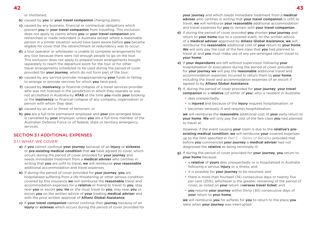or shortened;

- **b)** caused by **you** or **your travel companion** changing plans;
- **c)** caused by any business, financial or contractual obligations which prevent **you** or **your travel companion** from travelling. This exclusion does not apply to claims where **you** or **your travel companion** are retrenched or made redundant in Australia except where a reasonable person in a similar situation would have been aware before **you** became eligible for cover that the retrenchment or redundancy was to occur;
- **d)** a tour operator or wholesaler is unable to complete arrangements for any tour because there were not enough people to go on the tour. This exclusion does not apply to prepaid travel arrangements bought separately to reach the departure point for the tour or for other travel arrangements scheduled to be used during the period of cover provided for **your journey**, which do not form part of the tour;
- **e)** caused by any service provider misappropriating **your** funds or failing to arrange or provide services for which **you** have paid;
- **f)** caused by **insolvency** or financial collapse of a travel services provider who was not licensed in the jurisdiction in which they operate or was not accredited in Australia by **ATAS** at the time **you** made **your** booking or the **insolvency** or financial collapse of any company, organisation or person with whom they deal;
- **g)** caused by an act or threat of terrorism; or
- **h) you** are a full-time permanent employee and **your** pre-arranged leave is cancelled by **your** employer, unless **you** are a full-time member of the Australian Defence Force or of federal, state or territory emergency services.

# SECTION 3.1 ADDITIONAL EXPENSES

#### 3.1.1 WHAT WE COVER

- **a)** If **you** cannot continue **your journey** because of an **injury** or **sickness** or **pre-existing medical condition** that **we** have agreed to cover, which occurs during the period of cover provided for **your journey** and needs immediate treatment from a **medical adviser** who certifies in writing that **you** are unfit to travel, **we** will reimburse **your reasonable** additional accommodation and travel expenses.
- **b)** If during the period of cover provided for **your journey**, **you** are hospitalised suffering from a life threatening or other serious condition covered by this insurance **we** will reimburse the **reasonable** travel and accommodation expenses for a **relative** or friend to travel to **you**, stay near **you** or escort **you**. **He** or she must travel to **you**, stay near **you** or escort **you** on the written advice of **your** treating **medical adviser** and with the prior written approval of **Allianz Global Assistance**.
- **c)** If **your travel companion** cannot continue their **journey** because of an **injury** or **sickness** which occurs during the period of cover provided for

**your journey** and which needs immediate treatment from a **medical adviser** who certifies in writing that **your travel companion** is unfit to travel, **we** will reimburse **your reasonable** additional accommodation and travel expenses for **you** to remain with **your travel companion**.

- **d)** If during the period of cover provided **you** shorten **your journey** and return to **your home** due to a covered event, on the written advice of a **medical adviser** approved by **Allianz Global Assistance**, **we** will reimburse the **reasonable** additional cost of **your** return to **your home**. **We** will only pay the cost of the fare class that **you** had planned to travel at and **you** must make use of any pre-arranged return travel to **your home**.
- **e)** If **your dependants** are left without supervision following **your** hospitalisation or evacuation during the period of cover provided for **your journey we** will pay the **reasonable** additional travel and accommodation expenses incurred to return them to **your home**, including the travel and accommodation expenses of an escort if agreed to by **Allianz Global Assistance**.
- **f)** If, during the period of cover provided for **your journey**, **your travel companion** or a **relative** (of either of **you**) who is resident in Australia:
	- dies unexpectedly:
	- is **injured** and because of the **injury** requires hospitalisation; or
	- becomes seriously ill and requires hospitalisation,

**we** will reimburse the **reasonable** additional cost of **your** early return to **your home**. **We** will only pay the cost of the fare class **you** had planned to travel at.

However, if the event causing **your** claim is due to the **relative's preexisting medical condition**, **we** will reimburse **your** covered expenses up to the limit specified in *Part C – Tables of Benefits* provided that before **you** commenced **your journey** a **medical adviser** had not diagnosed the **relative** as being terminally ill.

- **g)** If during the period of cover provided for **your journey**, **you** return to **your home** because:
	- a **relative** of **yours** dies unexpectedly or is hospitalised in Australia following a serious **injury** or a illness; and
	- it is possible for **your journey** to be resumed; and
	- there is more than fourteen (14) consecutive days or twenty five per cent (25%), whichever is the greater, remaining of the period of cover, as noted on **your** return o**verseas travel ticket**; and
	- **you** resume **your journey** within thirty (30) consecutive days of **your** return to **your home**,

**we** will reimburse **you** for airfares for **you** to return to the place **you** were when **your journey** was interrupted.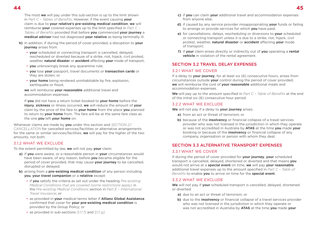The most **we** will pay under this sub-section is up to the limit shown in *Part C – Tables of Benefits*. However, if the event causing **your** claim is due to **your relative's pre-existing medical condition**, **we** will reimburse **your** covered expenses up to the limit specified in *Part C – Tables of Benefits* provided that before **you** commenced **your journey** a **medical adviser** had not diagnosed **your relative** as being terminally ill.

- **h)** In addition, if during the period of cover provided, a disruption to **your journey** arises from:
	- **your** scheduled or connecting transport is cancelled, delayed, rescheduled or diverted because of a strike, riot, hijack, civil protest, weather, **natural disaster** or **accident** affecting **your** mode of transport;
	- **you** unknowingly break any quarantine rule;
	- **you** lose **your** passport, travel documents or **transaction cards** or they are stolen; or
	- **your home** being rendered uninhabitable by fire, explosion, earthquake or flood,

**we** will reimburse **your reasonable** additional travel and accommodation expenses.

If **you** did not have a return ticket booked to **your home** before the **injury**, **sickness** or illness occurred, **we** will reduce the amount of **your** claim by the price of the fare to **your home** from the place **you** planned to return to **your home** from. The fare will be at the same fare class as the one **you** left **your home** on.

Whenever claims are made by **you** under this section and *SECTION 2.1 CANCELLATION* for cancelled services/facilities or alternative arrangements for the same or similar services/facilities, **we** will pay for the higher of the two amounts, not both.

#### 312 WHAT WE EXCLUDE

To the extent permitted by law, **we** will not pay **your** claim:

- **a)** if **you** were aware, or a reasonable person in **your** circumstances would have been aware, of any reason, before **you** became eligible for the period of cover provided, that may cause **your journey** to be cancelled, disrupted or delayed;
- **b)** arising from a **pre-existing medical condition** of any person including **you**, **your travel companion** or a **relative** except:
	- if **you** satisfy the criteria as set out under the heading *Pre-existing Medical Conditions that are covered (some restrictions apply)* in the *Pre-existing Medical Conditions* section in *Part E – International Travel Insurance*; or
	- as provided in **your** medical terms letter if **Allianz Global Assistance** confirmed that cover for **your pre-existing medical condition** is provided by the Group Policy; or
- **c)** if **you** can claim **your** additional travel and accommodation expenses from anyone else;
- **d)** if caused by any service provider misappropriating **your** funds or failing to arrange or provide services for which **you** have paid;
- **e)** for cancellations, delays, rescheduling or diversions to **your** scheduled or connecting transport unless it is due to a strike, riot, hijack, civil protest, weather, **natural disaster** or **accident** affecting **your** mode of transport;
- **f)** if **your** claim arises directly or indirectly out of **you** operating a **rental vehicle** in violation of the rental agreement.

## SECTION 3.2 TRAVEL DELAY EXPENSES

#### 3.2.1 WHAT WE COVER

If a delay to **your journey**, for at least six (6) consecutive hours, arises from circumstances outside **your** control during the period of cover provided, **we** will reimburse the cost of **your reasonable** additional meals and accommodation expenses.

**We** will pay up to the amount specified in *Part C – Table of Benefits* at the end of the initial six (6) consecutive hour period.

#### 3.2.2 WHAT WE EXCLUDE

**We** will not pay if a delay to **your journey** arises:

- **a)** from an act or threat of terrorism; or
- **b)** because of the **insolvency** or financial collapse of a travel services provider who was not licensed in the jurisdiction in which they operate or was not accredited in Australia by **ATAS** at the time **you** made **your** booking or because of the **insolvency** or financial collapse of any company, organisation or person with whom they deal;

#### SECTION 3.3 ALTERNATIVE TRANSPORT EXPENSES

#### 3.3.1 WHAT WE COVER

If during the period of cover provided for **your journey**, **your** scheduled transport is cancelled, delayed, shortened or diverted and that means **you** would not arrive at a **special event** on time, **we** will pay **your reasonable** additional travel expenses up to the amount specified in *Part C – Table of Benefits* to enable **you** to arrive on time for the **special event**.

#### 3.3.2 WHAT WE EXCLUDE

**We** will not pay if **your** scheduled transport is cancelled, delayed, shortened or diverted:

- **a)** due to an act or threat of terrorism; or
- **b)** due to the **insolvency** or financial collapse of a travel services provider who was not licensed in the jurisdiction in which they operate or was not accredited in Australia by **ATAS** at the time **you** made **your**

• as provided in sub-sections *3.1.1 f]* and *3.1.1 g]*.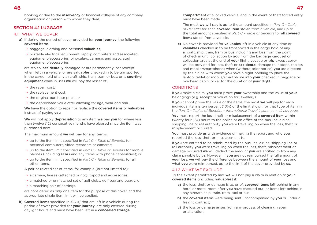booking or due to the **insolvency** or financial collapse of any company, organisation or person with whom they deal;

## SECTION 4.1 LUGGAGE

#### 4.1.1 WHAT WE COVER

- **a)** If during the period of cover provided for **your journey**, the following **covered items**:
	- baggage, clothing and personal **valuables**;
	- portable electrical equipment, laptop computers and associated equipment/accessories, binoculars, cameras and associated equipment/accessories;

are stolen, **accidentally** damaged or are permanently lost (except when: left in a vehicle; or are **valuables** checked in to be transported in the cargo hold of any aircraft, ship, train, tram or bus; or is **sporting equipment** while in use) **we** will pay the lesser of:

- the repair cost;
- the replacement cost;
- the original purchase price; or
- the depreciated value after allowing for age, wear and tear.

**We** have the option to repair or replace the **covered items** or **valuables** instead of paying **you**.

**We** will not apply **depreciation** to any item **we** pay **you** for where less than twelve (12) consecutive months have elapsed since the item was purchased new.

The maximum amount **we** will pay for any item is:

- up to the item limit specified in *Part C Table of Benefits* for personal computers, video recorders or cameras;
- up to the item limit specified in *Part C Table of Benefits* for mobile phones (including PDAs and any items with phone capabilities); or
- up to the item limit specified in *Part C Table of Benefits* for all other items.

A pair or related set of items, for example (but not limited to):

- a camera, lenses (attached or not), tripod and accessories;
- a matched or unmatched set of golf clubs, golf bag and buggy; or
- a matching pair of earrings.

are considered as only one item for the purpose of this cover, and the appropriate single item limit will be applied.

**b) Covered items** specified in 4.1.1 a<sub>1</sub> that are left in a vehicle during the period of cover provided for **your journey**, are only covered during daylight hours and must have been left in a **concealed storage** 

**compartment** of a locked vehicle, and in the event of theft forced entry must have been made.

The most **we** will pay is up to the amount specified in *Part C – Table of Benefits* for each **covered item** stolen from a vehicle, and up to the total amount specified in *Part C – Table of Benefits* for all **covered items** stolen from a vehicle.

**c)** No cover is provided for **valuables** left in a vehicle at any time or **valuables** checked in to be transported in the cargo hold of any aircraft, ship, train, tram or bus including any loss from the point of check in until collection by **you** from the baggage carousel or collection area at the end of **your** flight, voyage or **trip** except cover will be provided for loss, theft or **accidental** damage to laptops, tablets and mobile/smartphones when (without prior notice) **you** are directed by the airline with whom **you** have a flight booking to place the laptop, tablet or mobile/smartphone into **your** checked in baggage or overhead cabin locker for the duration of **your** flight.

#### **CONDITIONS**

If **you** make a claim, **you** must prove **your** ownership and the value of **your** belongings (e.g. receipt or valuation for jewellery).

If **you** cannot prove the value of the items, the most **we** will pay for each individual item is ten percent (10%) of the limit shown for that type of item in the *Part C – Tables of Benefits – International Travel Insurance – 4.1 Luggage*.

**You** must report the loss, theft or misplacement of a **covered item** within twenty four (24) hours to the police or an office of the bus line, airline, shipping line or rail authority **you** were travelling on when the loss, theft or misplacement occurred.

**You** must provide **us** with evidence of making the report and who **you** reported the loss, theft or misplacement to.

If **you** are entitled to be reimbursed by the bus line, airline, shipping line or rail authority **you** were travelling on when the loss, theft, misplacement or damage occurred **we** will deduct the amount **you** are entitled to from any claim payable by **us**. However, if **you** are not reimbursed the full amount of **your** loss, **we** will pay the difference between the amount of **your** loss and what **you** were reimbursed, up to the limit of the cover provided by **us**.

#### 4.1.2 WHAT WF FXCLUDE

To the extent permitted by law, **we** will not pay a claim in relation to **your covered items** (including **valuables**) if:

- **a)** the loss, theft or damage is to, or of, **covered items** left behind in any hotel or motel room after **you** have checked out, or items left behind in any aircraft, ship, train, tram, taxi or bus;
- **b)** the **covered item**s were being sent unaccompanied by **you** or under a freight contract;
- **c)** the loss or damage arises from any process of cleaning, repair or alteration;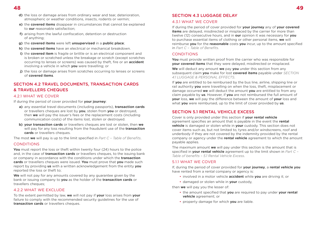- **d)** the loss or damage arises from ordinary wear and tear, deterioration, atmospheric or weather conditions, insects, rodents or vermin;
- **e)** the **covered items** disappear in circumstances that cannot be explained to **our** reasonable satisfaction;
- **f)** arising from the lawful confiscation, detention or destruction of anything;
- **g)** the **covered items** were left **unsupervised** in a **public place**;
- **h)** the **covered items** have an electrical or mechanical breakdown.
- **i)** the **covered item** is fragile or brittle or is an electrical component and is broken or scratched unless the breakage or scratch (except scratches occurring to lenses or screens) was caused by theft, fire or an **accident** involving a vehicle in which **you** were travelling; or
- **j)** the loss or damage arises from scratches occurring to lenses or screens of **covered items**.

# SECTION 4.2 TRAVEL DOCUMENTS, TRANSACTION CARDS & TRAVELLERS CHEQUES

#### 4.2.1 WHAT WE COVER

If during the period of cover provided for **your journey**:

- **a)** any essential travel documents (including passports), **transaction cards** or travellers cheques are lost by **you**, stolen from **you** or destroyed, then **we** will pay the issuer's fees or the replacement costs (including communication costs) of the items lost, stolen or destroyed.
- **b) your transaction cards** or travellers cheques are lost or stolen, then **we** will pay for any loss resulting from the fraudulent use of the **transaction cards** or travellers cheques.

The most **we** will pay is up to the limit specified in *Part C – Table of Benefits*.

#### CONDITIONS

**You** must report the loss or theft within twenty four (24) hours to the police and, in the case of **transaction cards** or travellers cheques, to the issuing bank or company in accordance with the conditions under which the **transaction cards** or travellers cheques were issued. **You** must prove that **you** made such report by providing **us** with a written acknowledgement from the entity **you** reported the loss or theft to;

**We** will not pay for any amounts covered by any guarantee given by the bank or issuing company to **you** as the holder of the **transaction cards** or travellers cheques;

#### 4.2.2 WHAT WE EXCLUDE

To the extent permitted by law, **we** will not pay if **your** loss arises from **your** failure to comply with the recommended security guidelines for the use of **transaction cards** or travellers cheques.

# SECTION 4.3 LUGGAGE DELAY

#### 4.3.1 WHAT WE COVER

If during the period of cover provided for **your journey** any of **your covered items** are delayed, misdirected or misplaced by the carrier for more than twelve (12) consecutive hours, and in **our** opinion it was necessary for **you** to purchase essential items of clothing or other personal items, **we** will reimburse **you** for the **reasonable** costs **you** incur, up to the amount specified in *Part C – Table of Benefits*.

#### **CONDITIONS**

**You** must provide written proof from the carrier who was responsible for **your covered items** that they were delayed, misdirected or misplaced.

**We** will deduct any amount **we** pay **you** under this section from any subsequent claim **you** make for lost **covered items** payable under *SECTION 4.1 LUGGAGE & PERSONAL EFFECTS*.

If **you** are entitled to be reimbursed by the bus line, airline, shipping line or rail authority **you** were travelling on when the loss, theft, misplacement or damage occurred **we** will deduct the amount **you** are entitled to from any claim payable by **us**. However, if **you** are not reimbursed the full amount of **your** loss, **we** will pay the difference between the amount of **your** loss and what **you** were reimbursed, up to the limit of cover provided by **us**.

## SECTION 5.1 RENTAL VEHICLE EXCESS

Cover is only provided under this section if **your rental vehicle** agreement specifies an amount that is payable in the event the **rental vehicle** is damaged or stolen while in **your** custody. This section does not cover items such as, but not limited to, tyres and/or windscreens, roof and underbody if they are not covered by the indemnity provided by the rental company or agency under the **rental vehicle** agreement to which the amount payable applies.

The maximum amount **we** will pay under this section is the amount that is specified in **your rental vehicle** agreement up to the limit shown in *Part C – Table of benefits – 5.1 Rental Vehicle Excess*.

#### 5.1.1 WHAT WE COVER

If, during the period of cover provided for **your journey**, a **rental vehicle you** have rented from a rental company or agency is:

- involved in a motor vehicle **accident** while **you** are driving it; or
- damaged or stolen while in **your** custody,

then **we** will pay you the lesser of:

- the amount specified that **you** are required to pay under **your rental vehicle** agreement; or
- property damage for which **you** are liable.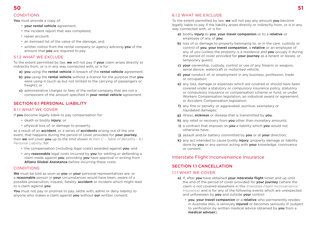#### **CONDITIONS**

**You** must provide a copy of:

- **your rental vehicle** agreement;
- the incident report that was completed;
- repair account:
- an itemised list of the value of the damage; and
- written notice from the rental company or agency advising **you** of the amount that **you** are required to pay.

# 512 WHAT WE EXCLUDE

To the extent permitted by law, **we** will not pay if **your** claim arises directly or indirectly from, or is in any way connected with, or is for:

- **a) you** using the **rental vehicle** in breach of the **rental vehicle** agreement;
- **b) you** using the **rental vehicle** without a licence for the purpose that **you** were using it (such as but not limited to the carrying of passengers or freight); or
- **c)** administrative charges or fees of the rental company that are not a component of the amount specified in **your rental vehicle** agreement.

# SECTION 6.1 PERSONAL LIABILITY

## 6.1.1 WHAT WE COVER

If **you** become legally liable to pay compensation for:

- death or bodily **injury**; or
- physical loss of, or damage to property,

as a result of an **accident**, or a series of **accidents** arising out of the one event, that happens during the period of cover provided for **your journey**, then **we** will cover **you** up to the limit shown in *Part C – Table of Benefits – 6.1 Personal Liability*, for:

- the compensation (including legal costs) awarded against **you**; and
- any **reasonable** legal costs incurred by **you** for settling or defending a claim made against **you**, providing **you** have approval in writing from **Allianz Global Assistance** before incurring these costs.

# **CONDITIONS**

**We** must be told as soon as **you** or **your** personal representatives are, or a **reasonable** person in **your** circumstances would have been, aware of a possible prosecution, inquest, fatality, **accident** or incident which might lead to a claim against **you**.

**You** must not pay or promise to pay, settle with, admit or deny liability to anyone who makes a claim against **you** without **our** written consent.

# 6.1.2 WHAT WF FXCLUDE

To the extent permitted by law, **we** will not pay any amount **you** become legally liable to pay if the liability arises directly or indirectly from, or is in any way connected with, or is for:

- **a)** bodily **injury** to **you**, **your travel companion** or to a **relative** or employee of any of **you**;
- **b)** loss of or damage to property belonging to, or in the care, custody or control of **you**, **your travel companion**, a **relative** or an employee of any of you (unless the property is a residence and **you** occupy it during the period of cover provided for **your journey** as a tenant or lessee, or temporary guest);
- **c) your** ownership, custody, control or use of any firearm or weapon, aerial device, watercraft or motorised vehicle;
- **d) your** conduct of, or employment in any business, profession, trade or occupation;
- **e)** any loss, damage or expenses which are covered or should have been covered under a statutory or compulsory insurance policy, statutory or compulsory insurance or compensation scheme or fund, or under Workers Compensation legislation, an industrial award or agreement, or Accident Compensation legislation;
- **f)** any fine or penalty, or aggravated, punitive, exemplary or liquidated damages;
- **g)** illness, **sickness** or disease that is transmitted by **you**;
- **h)** any relief or recovery from **you** other than monetary amounts;
- **i)** a contract that imposes on **you** a liability which **you** would not otherwise have;
- **j)** assault and/or battery committed by **you** or at **your** direction;
- **k)** any act intended to cause bodily **injury**, property damage or liability done by **you** or any person acting with **your** knowledge, connivance or consent.

# Interstate Flight Inconvenience Insurance

# SECTION 11 CANCELLATION

## 1.1.1 WHAT WE COVER:

- **a)** If, after **you** have obtained **your interstate flight** ticket and up until the end of the period of cover provided for **your journey** (where the claim is not covered elsewhere in this *Interstate Flight Inconvenience Insurance)* and is for any of the following events which are unexpected and unforeseen by **you** and outside **your** control:
	- **you**, **your travel companion** or a **relative** who permanently resides in Australia dies, is seriously **injured** or becomes seriously ill (subject to verification by written medical advice obtained by **you** from a **medical adviser**);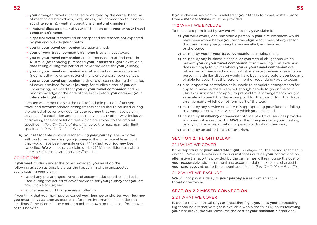- **your** arranged travel is cancelled or delayed by the carrier because of mechanical breakdown, riots, strikes, civil commotion (but not an act of terrorism), weather conditions or **natural disasters**;
- a **natural disaster** either at **your** destination or at **your** or **your travel companion's home**;
- a **special event** is cancelled or postponed for reasons not expected by **you** and outside **your** control;
- **you** or **your travel companion** are quarantined;
- **your** or **your travel companion's home** is totally destroyed;
- **you** or **your travel companion** are subpoenaed to attend court in Australia (after having purchased **your interstate flight** ticket) on a date falling during the period of cover provided for **your journey**;
- **you** or **your travel companion** are retrenched or made redundant (not including voluntary retrenchment or voluntary redundancy);
- **you** or **your travel companion** having to sit exams during the period of cover provided for **your journey**, for studies either of **you** are undertaking, provided that **you** or **your travel companion** had no prior knowledge of the date of the exam before **you** obtained **your interstate flight** ticket,

then **we** will reimburse **you** the non-refundable portion of unused travel and accommodation arrangements scheduled to be used during the period of cover provided for **your journey** that **you** have paid in advance of cancellation and cannot recover in any other way, inclusive of travel agent's cancellation fees which are limited to the amount specified in *Part C – Table of Benefits*, up to the maximum total limit specified in *Part C – Table of Benefits*; or

**b) your reasonable** costs of rescheduling **your journey**. The most **we** will pay for rescheduling **your journey** is the unrecoverable amount that would have been payable under *1.1.1 a]* had **your journey** been cancelled. **We** will not pay a claim under *1.1.1 b]* in addition to a claim under *1.1.1 a*] for the same services/facilities;

#### **CONDITIONS**

If **you** want to claim under the cover provided, **you** must do the following as soon as possible after the happening of the unexpected event causing **your** claim:

- cancel any pre-arranged travel and accommodation scheduled to be used during the period of cover provided for **your journey** that **you** are now unable to use; and
- recover any refund that **you** are entitled to.

If you think that **you** may have to cancel **your journey** or shorten **your journey you** must tell **us** as soon as possible – for more information see under the headings *CLAIMS* or call the contact number shown on the inside front cover of this booklet.

If **your** claim arises from or is related to **your** fitness to travel, written proof from a **medical adviser** must be provided.

#### 1.1.2 WHAT WF FXCLUDE

To the extent permitted by law **we** will not pay **your** claim if:

- **a) you** were aware, or a reasonable person in **your** circumstances would have been aware before **you** became eligible for cover, of any reason that may cause **your journey** to be cancelled, rescheduled or shortened;
- **b)** caused by **you** or **your travel companion** changing plans;
- **c)** caused by any business, financial or contractual obligations which prevent **you** or **your travel companion** from travelling. This exclusion does not apply to claims where **you** or **your travel companion** are retrenched or made redundant in Australia except where a reasonable person in a similar situation would have been aware before **you** became eligible for cover that the retrenchment or redundancy was to occur;
- **d)** a tour operator or wholesaler is unable to complete arrangements for any tour because there were not enough people to go on the tour. This exclusion does not apply to prepaid travel arrangements bought separately to reach the departure point for the tour or for other travel arrangements which do not form part of the tour;
- **e)** caused by any service provider misappropriating **your** funds or failing to arrange or provide services for which **you** have paid;
- **f)** caused by **insolvency** or financial collapse of a travel services provider who was not accredited by **ATAS** at the time **you** made **your** booking or any company, organisation or person with whom they deal;
- **g)** caused by an act or threat of terrorism.

# SECTION 2.1 FLIGHT DELAY

## 2.1.1 WHAT WE COVER

If the departure of **your interstate flight**, is delayed for the period specified in *Part C – Table of Benefits* due to circumstances outside **your** control and no alternative transport is provided by the carrier, **we** will reimburse the cost of **your reasonable** additional meal and accommodation expenses charged to **your card account**, up to the amount specified in *Part C – Table of Benefits*.

## 212 WHAT WE EXCLUDE

**We** will not pay if a delay to **your journey** arises from an act or threat of terrorism.

# SECTION 2.2 MISSED CONNECTION

## 2.2.1 WHAT WE COVER

If, due to the late arrival of **your** preceding flight **you** miss **your** connecting flight and no alternative flight is available within the four (4) hours following **your** late arrival, **we** will reimburse the cost of **your reasonable** additional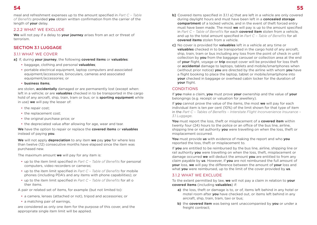meal and refreshment expenses up to the amount specified in *Part C – Table of Benefits* provided **you** obtain written confirmation from the carrier of the length of **your** delay.

#### 2.2.2 WHAT WE EXCLUDE

**We** will not pay if a delay to **your journey** arises from an act or threat of terrorism.

# SECTION 3.1 LUGGAGE

#### 3.1.1 WHAT WE COVER

#### **a]** If, during **your journey**, the following **covered items** or **valuables**:

- baggage, clothing and personal **valuables**;
- portable electrical equipment, laptop computers and associated equipment/accessories, binoculars, cameras and associated equipment/accessories; or
- **business items**,

are stolen, **accidentally** damaged or are permanently lost (except when: left in a vehicle; or are **valuables** checked in to be transported in the cargo hold of any aircraft, ship, train, tram or bus; or is **sporting equipment** while in use) **we** will pay the lesser of:

- the repair cost:
- the replacement cost;
- the original purchase price; or
- the depreciated value after allowing for age, wear and tear.

**We** have the option to repair or replace the **covered items** or **valuables** instead of paying **you**.

**We** will not apply **depreciation** to any item **we** pay **you** for where less than twelve (12) consecutive months have elapsed since the item was purchased new.

The maximum amount **we** will pay for any item is:

- up to the item limit specified in *Part C Table of Benefits* for personal computers, video recorders or cameras;
- up to the item limit specified in *Part C Table of Benefits* for mobile phones (including PDA's and any items with phone capabilities); or
- up to the item limit specified in *Part C Table of Benefits* for all o ther items.

A pair or related set of items, for example (but not limited to):

- a camera, lenses (attached or not), tripod and accessories; or
- a matching pair of earrings,

are considered as only one item for the purpose of this cover, and the appropriate single item limit will be applied.

- **b]** Covered items specified in 3.1.1 a] that are left in a vehicle are only covered during daylight hours and must have been left in a **concealed storage compartment** of a locked vehicle, and in the event of theft forced entry must have been made. The most **we** will pay is up to the amount specified in *Part C – Table of Benefits* for each **covered item** stolen from a vehicle, and up to the total amount specified in *Part C – Table of Benefits* for all **covered items** stolen from a vehicle.
- **c]** No cover is provided for **valuables** left in a vehicle at any time or **valuables** checked in to be transported in the cargo hold of any aircraft, ship, train, tram or bus including any loss from the point of check in until collection by **you** from the baggage carousel or collection area at the end of **your** flight, voyage or **trip** except cover will be provided for loss theft or **accidental** damage to laptops, tablets and mobile/smartphones when (without prior notice) **you** are directed by the airline with whom **you** have a flight booking to place the laptop, tablet or mobile/smartphone into **your** checked in baggage or overhead cabin locker for the duration of **your** flight.

## **CONDITIONS**

If **you** make a claim, **you** must prove **your** ownership and the value of **your** belongings (e.g. receipt or valuation for jewellery).

If **you** cannot prove the value of the items, the most **we** will pay for each individual item is ten per cent (10%) of the limit shown for that type of item in the *Part C – Tables of Benefits – Interstate Flight Inconvenience Insurance – 3.1 Luggage*.

**You** must report the loss, theft or misplacement of a **covered item** within twenty four (24) hours to the police or an office of the bus line, airline, shipping line or rail authority **you** were travelling on when the loss, theft or misplacement occurred.

**You** must provide **us** with evidence of making the report and who **you** reported the loss, theft or misplacement to.

If **you** are entitled to be reimbursed by the bus line, airline, shipping line or rail authority **you** were travelling on when the loss, theft, misplacement or damage occurred **we** will deduct the amount **you** are entitled to from any claim payable by **us**. However, if **you** are not reimbursed the full amount of **your** loss, **we** will pay the difference between the amount of **your** loss and what **you** were reimbursed, up to the limit of the cover provided by **us**.

#### 3.1.2 WHAT WE EXCLUDE

To the extent permitted by law, **we** will not pay a claim in relation to **your covered items** (including **valuables**) if:

- **a)** the loss, theft or damage is to, or of, items left behind in any hotel or motel room after **you** have checked out, or items left behind in any aircraft, ship, train, tram, taxi or bus;
- **b)** the **covered item** was being sent unaccompanied by **you** or under a freight contract;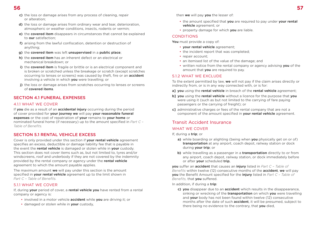- **c)** the loss or damage arises from any process of cleaning, repair or alteration;
- **d)** the loss or damage arises from ordinary wear and tear, deterioration, atmospheric or weather conditions, insects, rodents or vermin;
- **e)** the **covered item** disappears in circumstances that cannot be explained to **our** satisfaction;
- **f)** arising from the lawful confiscation, detention or destruction of anything;
- **g)** the **covered item** was left **unsupervised** in a **public place**;
- **h)** the **covered item** has an inherent defect or an electrical or mechanical breakdown; or
- **i)** the **covered item** is fragile or brittle or is an electrical component and is broken or scratched unless the breakage or scratch (except scratches occurring to lenses or screens) was caused by theft, fire or an **accident** involving a vehicle in which **you** were travelling; or
- **j)** the loss or damage arises from scratches occurring to lenses or screens of **covered items**.

# SECTION 4.1 FUNERAL EXPENSES

# 4.1.1 WHAT WE COVER

If **you** die as a result of an **accidental injury** occurring during the period of cover provided for **your journey we** will pay **your reasonable funeral expenses** or the cost of repatriation of **your** remains to **your home** or nominated funeral home (if necessary) up to the amount specified in *Part C – Table of Benefits.*

# SECTION 5.1 RENTAL VEHICLE EXCESS

Cover is only provided under this section if **your rental vehicle** agreement specifies an excess, deductible or damage liability fee that is payable in the event the **rental vehicle** is damaged or stolen while in **your** custody. This section does not cover items such as, but not limited to, tyres and/or windscreens, roof and underbody if they are not covered by the indemnity provided by the rental company or agency under the **rental vehicle** agreement to which the amount payable applies.

The maximum amount **we** will pay under this section is the amount specified in **your rental vehicle** agreement up to the limit shown in *Part C – Table of Benefits.*

## 5.1.1 WHAT WE COVER

If, during **your** period of cover, a **rental vehicle you** have rented from a rental company or agency is:

- involved in a motor vehicle **accident** while **you** are driving it; or
- damaged or stolen while in **your** custody,

then **we** will pay **you** the lesser of:

- the amount specified that **you** are required to pay under **your rental vehicle** agreement; or
- property damage for which **you** are liable.

## CONDITIONS

**You** must provide a copy of:

- **your rental vehicle** agreement;
- the incident report that was completed;
- repair account:
- an itemised list of the value of the damage; and
- written notice from the rental company or agency advising **you** of the amount that **you** are required to pay.

## 512 WHAT WE EXCLUDE

To the extent permitted by law, **we** will not pay if the claim arises directly or indirectly from, or is in any way connected with, or is for:

- **a] you** using the **rental vehicle** in breach of the **rental vehicle** agreement;
- **b] you** using the **rental vehicle** without a licence for the purpose that **you** were using it (such as but not limited to the carrying of fare paying passengers or the carrying of freight); or
- **c]** administrative charges or fees of the rental company that are not a component of the amount specified in **your rental vehicle** agreement.

# Transit Accident Insurance

# WHAT WE COVER

If, during a **trip**; or

- **a)** while boarding or alighting (being when **you** physically get on or of) **transportation** at any airport, coach depot, railway station or dock during **your trip**; or
- **b)** while travelling as a passenger in a **transportation** directly to or from any airport, coach depot, railway station, or dock immediately before or after **your** scheduled **trip**,

**you** suffer an **accident** that causes an **injury** listed in *Part C – Table of Benefits* within twelve (12) consecutive months of the **accident**, **we** will pay **you** the Benefit Amount specified for the **injury** listed in *Part C – Table of Benefits,* that **you** suffered.

In addition, if during a **trip**:

**c) you** disappear due to an **accident** which results in the disappearance, sinking or wrecking of the **transportation** on which **you** were travelling and **your** body has not been found within twelve (12) consecutive months after the date of such **accident**, it will be presumed, subject to there being no evidence to the contrary, that **you** died,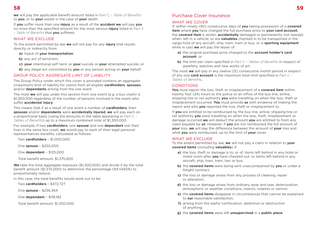**we** will pay the applicable benefit amount listed in *Part C – Table of Benefits* to **you**, or to **your** estate in the case of **your** death.

If **you** suffer more than one **injury** as a result of the **accident we** will pay **you** no more than the specified amount for the most serious **injury** listed in *Part C – Table of Benefits* that **you** suffered.

#### WHAT WE EXCLUDE

To the extent permitted by law **we** will not pay for any **injury** that results directly or indirectly from:

**a)** hijack of **your transportation**;

- **b)** any act of terrorism;
- **c) your** intentional self harm or **your** suicide or **your** attempted suicide; or
- **d)** any illegal act committed by **you** or any person acting on **your** behalf.

#### GROUP POLICY AGGREGATE LIMIT OF LIABILITY

The Group Policy under which this cover is provided contains an aggregate (maximum) limit of liability for claims from all eligible **cardholders**, **spouses** and/or **dependants** arising from the one event.

The most **we** will pay under this section from one event (e.g. a bus crash) is \$1,300,000 regardless of the number of persons involved in the event who suffer **accidental injury**.

This means that if as a result of one event a number of **cardholders**, their **spouses** and/or **dependants** were **accidentally injured**, **we** will pay each on a proportional basis (using the amounts in the table appearing in *Part C – Tables of Benefits*) up to a maximum combined total of \$1,300,000.

For example, if two **cardholders**, one **spouse** and one **dependant** lost their lives in the same bus crash, **we** would pay to each of their legal personal representatives benefits, calculated as follows:

Two **cardholders** – \$1,000,000

One **spouse** – \$250,000

One **dependant** – \$125,000

Total benefit amount: \$1,375,000

**We** take the total aggregate exposure (\$1,300,000) and divide it by the total benefit amount (\$1,375,000) to determine the percentage (94.5455%) to proportionally reduce.

In this case, the total benefits would work out to be:

Two **cardholders** – \$472,727

One **spouse** – \$236,364

One **dependant** – \$118,182

Total benefit amount: \$1,300,000

# Purchase Cover Insurance

## WHAT WE COVER

If, within ninety (90) consecutive days of **you** taking possession of a **covered item** where **you** have charged the full purchase price to **your card account**, the **covered item** is stolen, **accidentally** damaged or permanently lost (except when: left in a vehicle; or are **valuables** checked in to be transported in the cargo hold of any aircraft, ship, train, tram or bus; or is **sporting equipment** while in use) **we** will pay the lesser of:

- **a)** the original purchase price charged to the **account holder's card account**; or
- **b)** the limit per claim specified in *Part C Tables of Benefits* in respect of jewellery, watches and new works of art.

The most **we** will pay in any twelve (12) consecutive month period in respect of any one **card account** is the maximum total limit specified in *Part C – Tables of Benefits***.**

#### CONDITIONS

**You** must report the loss, theft or misplacement of a **covered item** within twenty four (24) hours to the police or an office of the bus line, airline, shipping line or rail authority **you** were travelling on when the loss, theft or misplacement occurred. **You** must provide **us** with evidence of making the report and who **you** reported the loss, theft or misplacement to.

If **you** are entitled to be reimbursed by the bus line, airline, shipping line or rail authority **you** were travelling on when the loss, theft, misplacement or damage occurred **we** will deduct the amount **you** are entitled to from any claim payable by **us**. However, if **you** are not reimbursed the full amount of **your** loss, **we** will pay the difference between the amount of **your** loss and what **you** were reimbursed, up to the limit of **your** cover.

#### WHAT WE EXCLUDE

To the extent permitted by law, **we** will not pay a claim in relation to **your covered items** (including **valuables**) if:

- **a)** the loss, theft or damage is to, or of, items left behind in any hotel or motel room after **you** have checked out, or items left behind in any aircraft, ship, train, tram, taxi or bus;
- **b)** the **covered items** were being sent unaccompanied by **you** or under a freight contract:
- **c)** the loss or damage arises from any process of cleaning, repair or alteration;
- **d)** the loss or damage arises from ordinary wear and tear, deterioration, atmospheric or weather conditions, insects, rodents or vermin;
- **e)** the **covered items** disappear in circumstances that cannot be explained to **our** reasonable satisfaction;
- **f)** arising from the lawful confiscation, detention or destruction of anything;
- **g)** the **covered items** were left **unsupervised** in a **public place**;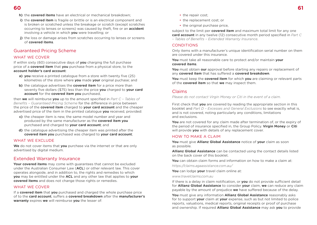- **h)** the **covered items** have an electrical or mechanical breakdown;
- **i)** the **covered item** is fragile or brittle or is an electrical component and is broken or scratched unless the breakage or scratch (except scratches occurring to lenses or screens) was caused by theft, fire or an **accident** involving a vehicle in which **you** were travelling; or
- **j)** the loss or damage arises from scratches occurring to lenses or screens of **covered items**.

# Guaranteed Pricing Scheme

## WHAT WE COVER

If within sixty (60) consecutive days of **you** charging the full purchase price of a **covered item** that **you** purchase from a physical store, to the **account holder's card account**:

- **a) you** receive a printed catalogue from a store with twenty five (25) kilometres of the store where **you** made **your** original puchase; and
- **b)** the catalogue advertises the **covered item** for a price more than seventy five dollars (\$75) less than the price **you** charged to **your card account** for the **covered item you** purchased,

then **we** will reimburse **you** up to the amount specified in *Part C – Tables of Benefits – Guaranteed Pricing Scheme* for the difference in price between the price of the **covered item** charged to **your card account** and the cheaper advertised price of the item in the printed catalogue **you** received, provided:

- **c)** the cheaper item is new, the same model number and year and produced by the same manufacturer as the **covered item you** purchased and charged to **your card account**; and
- **d)** the catalogue advertising the cheaper item was printed after the **covered item you** purchased was charged to **your card account**;

#### WHAT WE EXCLUDE

**We** do not cover items that **you** purchase via the internet or that are only advertised by digital medium.

# Extended Warranty Insurance

**Your covered items** may come with guarantees that cannot be excluded under the Australian Consumer Law (**ACL**) or other relevant law. This cover operates alongside, and in addition to, the rights and remedies to which **you** may be entitled under the **ACL** and any other law that applies to **your covered items** and does not change those rights or remedies.

#### WHAT WE COVER

If a **covered item** that **you** purchased and charged the whole purchase price of to the **card account**, suffers a **covered breakdown** after the **manufacturer's warranty** expires **we** will reimburse **you** the lesser of:

- the repair cost:
- the replacement cost; or
- the original purchase price.

subject to the limit per **covered item** and maximum total limit for any one **card account** in any twelve (12) consecutive month period specified in *Part C – Tables of Benefits – Extended Warranty Insurance*.

#### CONDITIONS

Only items with a manufacturer's unique identification serial number on them are covered under this insurance.

**You** must take all reasonable care to protect and/or maintain **your covered items**.

**You** must obtain **our** approval before starting any repairs or replacement of any **covered item** that has suffered a **covered breakdown**.

**You** must keep the **covered item** for which **you** are claiming or relevant parts of the **covered item** so that **we** may inspect them.

# Claims

*Please do not contact Virgin Money or Citi in the event of a claim.*

First check that **you** are covered by reading the appropriate section in this booklet and *Part D – Excesses and General Exclusions* to see exactly what is, and is not covered, noting particularly any conditions, limitations and exclusions.

**You** are not covered for any claim made after termination of, or the expiry of the period of insurance specified in, the Group Policy. **Virgin Money** or **Citi** will provide **you** with details of any replacement cover.

#### HOW TO MAKE A CLAIM

**You** must give **Allianz Global Assistance** notice of **your** claim as soon as possible.

**Allianz Global Assistance** can be contacted using the contact details listed on the back cover of this booklet.

**You** can obtain claim forms and information on how to make a claim at:

*<https://claims.agaassistance.com.au/>*

**You** can lodge **your** travel claim online at:

*[www.travelclaims.com.au](http://www.travelclaims.com.au)*

If there is a delay in claim notification, or **you** do not provide sufficient detail for **Allianz Global Assistance** to consider **your** claim, **we** can reduce any claim payable by the amount of prejudice **we** have suffered because of the delay.

**You** must give any information **Allianz Global Assistance** reasonably asks for to support **your** claim at **your** expense, such as but not limited to police reports, valuations, medical reports, original receipts or proof of purchase and ownership. If required **Allianz Global Assistance** may ask **you** to provide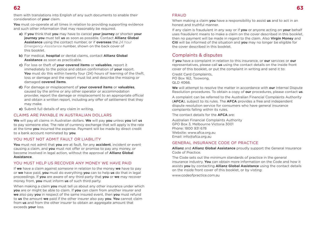them with translations into English of any such documents to enable their consideration of **your** claim.

**You** must co-operate at all times in relation to providing supporting evidence and such other information that may reasonably be required.

- **a)** If **you** think that **you** may have to cancel **your journey** or shorten **your journey you** must tell **us** as soon as possible. Contact **Allianz Global Assistance** using the contact number, or if **overseas** the *24 hour Emergency Assistance* number, shown on the back cover of this booklet.
- **b)** For medical, **hospital** or dental claims, contact **Allianz Global Assistance** as soon as practicable.
- **c)** For loss or theft of **your covered items** or **valuables**, report it immediately to the police and obtain confirmation of **your** report. **You** must do this within twenty four (24) hours of learning of the theft, loss or damage and the report must list and describe the missing or damaged **covered items**.
- **d)** For damage or misplacement of **your covered items** or **valuables**, caused by the airline or any other operator or accommodation provider, report the damage or misplacement to an appropriate official and obtain a written report, including any offer of settlement that they may make.
- **e)** Submit full details of any claim in writing.

#### CLAIMS ARE PAYABLE IN AUSTRALIAN DOLLARS

**We** will pay all claims in Australian dollars. **We** will pay **you** unless **you** tell **us** to pay someone else. The rate of currency exchange that will apply is the rate at the time **you** incurred the expense. Payment will be made by direct credit to a bank account nominated by **you**.

#### YOU MUST NOT ADMIT FAULT OR LIABILITY

**You** must not admit that **you** are at fault, for any **accident**, incident or event causing a claim, and **you** must not offer or promise to pay any money, or become involved in legal action, without the approval of **Allianz Global Assistance**.

#### YOU MUST HELP US RECOVER ANY MONEY WE HAVE PAID

If **we** have a claim against someone in relation to the money **we** have to pay or **we** have paid, **you** must do everything **you** can to help **us** do that in legal proceedings. If **you** are aware of any third party that **you** or **we** may recover money from, **you** must inform **us** of such third party.

When making a claim **you** must tell us about any other insurance under which **you** are or might be able to claim. If **you** can claim from another insurer and **we** also pay **you** in respect of the same insured event, then **you** must refund to **us** the amount **we** paid if the other insurer also pay **you**. **You** cannot claim from **us** and from the other insurer to obtain an aggregate amount that exceeds **your** loss.

#### FRAUD

When making a claim **you** have a responsibility to assist **us** and to act in an honest and truthful manner.

If any claim is fraudulent in any way or if **you** or anyone acting on **your** behalf uses fraudulent means to make a claim on the cover described in this booklet, then no payment will be made in regard to the claim. Also **Virgin Money** and **Citi** will be informed of the situation and **you** may no longer be eligible for the cover described in this booklet.

# Complaints & disputes

If **you** have a complaint in relation to this insurance, or **our** services or **our** representatives, please call **us** using the contact details on the inside front cover of this booklet, or put the complaint in writing and send it to:

Credit Card Complaints, PO Box 162, Toowong, QLD 4066

**We** will attempt to resolve the matter in accordance with **our** Internal Dispute Resolution procedures. To obtain a copy of **our** procedures, please contact **us**.

A complaint can be referred to the Australian Financial Complaints Authority (**AFCA**), subject to its rules. The **AFCA** provides a free and independent dispute resolution service for consumers who have general insurance complaints falling within its rules.

The contact details for the **AFCA** are:

Australian Financial Complaints Authority GPO Box 3, Melbourne Victoria 3001 Phone: 1800 931 678 Website: [www.afca.org.au](http://www.afca.org.au) Email: [info@afca.org.au](mailto:info%40afca.org.au?subject=)

#### GENERAL INSURANCE CODE OF PRACTICE

**Allianz** and **Allianz Global Assistance** proudly support the General Insurance Code of Practice.

The Code sets out the minimum standards of practice in the general insurance industry. **You** can obtain more information on the Code and how it assists **you** by contacting **Allianz Global Assistance** using the contact details on the inside front cover of this booklet, or by visting:

[www.codeofpractice.com.au](http://www.codeofpractice.com.au)